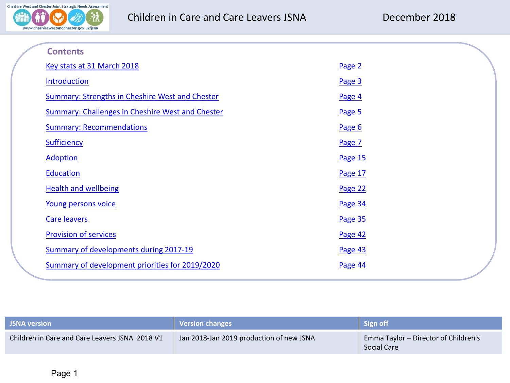

| <b>Contents</b>                                         |         |  |
|---------------------------------------------------------|---------|--|
| Key stats at 31 March 2018                              | Page 2  |  |
| <b>Introduction</b>                                     | Page 3  |  |
| <b>Summary: Strengths in Cheshire West and Chester</b>  | Page 4  |  |
| <b>Summary: Challenges in Cheshire West and Chester</b> | Page 5  |  |
| <b>Summary: Recommendations</b>                         | Page 6  |  |
| <b>Sufficiency</b>                                      | Page 7  |  |
| <b>Adoption</b>                                         | Page 15 |  |
| Education                                               | Page 17 |  |
| <b>Health and wellbeing</b>                             | Page 22 |  |
| Young persons voice                                     | Page 34 |  |
| <b>Care leavers</b>                                     | Page 35 |  |
| <b>Provision of services</b>                            | Page 42 |  |
| Summary of developments during 2017-19                  | Page 43 |  |
| Summary of development priorities for 2019/2020         | Page 44 |  |

| <b>JSNA</b> version                            | Version changes                          | Sign off                                            |
|------------------------------------------------|------------------------------------------|-----------------------------------------------------|
| Children in Care and Care Leavers JSNA 2018 V1 | Jan 2018-Jan 2019 production of new JSNA | Emma Taylor - Director of Children's<br>Social Care |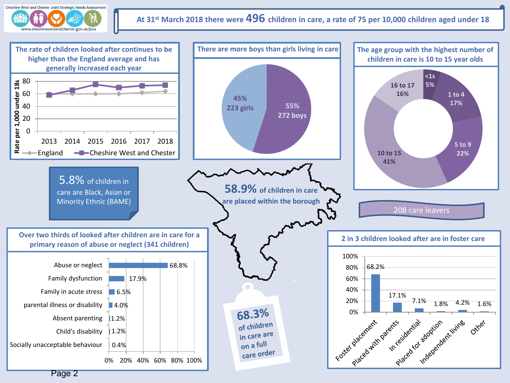<span id="page-1-0"></span>

# **At 31st March 2018 there were 496 children in care, a rate of 75 per 10,000 children aged under 18**

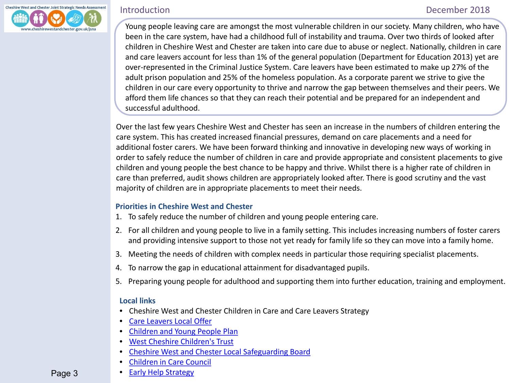<span id="page-2-0"></span>

í

Young people leaving care are amongst the most vulnerable children in our society. Many children, who have been in the care system, have had a childhood full of instability and trauma. Over two thirds of looked after children in Cheshire West and Chester are taken into care due to abuse or neglect. Nationally, children in care and care leavers account for less than 1% of the general population (Department for Education 2013) yet are over-represented in the Criminal Justice System. Care leavers have been estimated to make up 27% of the adult prison population and 25% of the homeless population. As a corporate parent we strive to give the children in our care every opportunity to thrive and narrow the gap between themselves and their peers. We afford them life chances so that they can reach their potential and be prepared for an independent and successful adulthood.

Over the last few years Cheshire West and Chester has seen an increase in the numbers of children entering the care system. This has created increased financial pressures, demand on care placements and a need for additional foster carers. We have been forward thinking and innovative in developing new ways of working in order to safely reduce the number of children in care and provide appropriate and consistent placements to give children and young people the best chance to be happy and thrive. Whilst there is a higher rate of children in care than preferred, audit shows children are appropriately looked after. There is good scrutiny and the vast majority of children are in appropriate placements to meet their needs.

# **Priorities in Cheshire West and Chester**

- 1. To safely reduce the number of children and young people entering care.
- 2. For all children and young people to live in a family setting. This includes increasing numbers of foster carers and providing intensive support to those not yet ready for family life so they can move into a family home.
- 3. Meeting the needs of children with complex needs in particular those requiring specialist placements.
- 4. To narrow the gap in educational attainment for disadvantaged pupils.
- 5. Preparing young people for adulthood and supporting them into further education, training and employment.

### **Local links**

- Cheshire West and Chester Children in Care and Care Leavers Strategy
- [Care Leavers Local Offer](https://www.cheshirewestandchester.gov.uk/residents/health-and-social-care/children-and-young-people/Care-leavers.aspx)
- [Children and Young People Plan](http://westcheshirechildrenstrust.co.uk/plan/)
- [West Cheshire Children's Trust](http://westcheshirechildrenstrust.co.uk/)
- [Cheshire West and Chester Local Safeguarding Board](https://www.cheshirewestlscb.org.uk/)
- [Children in Care Council](https://cicc.org.uk/)
- [Early Help Strategy](http://westcheshirechildrenstrust.co.uk/documents/)

Page 3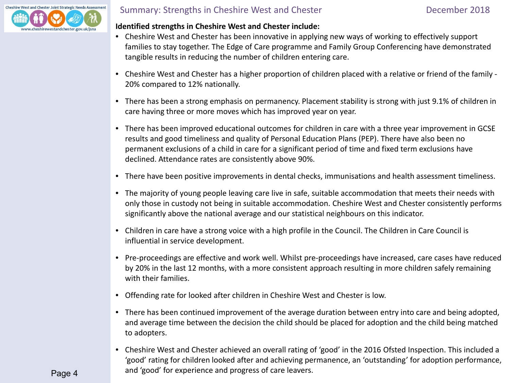<span id="page-3-0"></span>

# Summary: Strengths in Cheshire West and Chester **December 2018**

## **Identified strengths in Cheshire West and Chester include:**

- Cheshire West and Chester has been innovative in applying new ways of working to effectively support families to stay together. The Edge of Care programme and Family Group Conferencing have demonstrated tangible results in reducing the number of children entering care.
- Cheshire West and Chester has a higher proportion of children placed with a relative or friend of the family 20% compared to 12% nationally.
- There has been a strong emphasis on permanency. Placement stability is strong with just 9.1% of children in care having three or more moves which has improved year on year.
- There has been improved educational outcomes for children in care with a three year improvement in GCSE results and good timeliness and quality of Personal Education Plans (PEP). There have also been no permanent exclusions of a child in care for a significant period of time and fixed term exclusions have declined. Attendance rates are consistently above 90%.
- There have been positive improvements in dental checks, immunisations and health assessment timeliness.
- The majority of young people leaving care live in safe, suitable accommodation that meets their needs with only those in custody not being in suitable accommodation. Cheshire West and Chester consistently performs significantly above the national average and our statistical neighbours on this indicator.
- Children in care have a strong voice with a high profile in the Council. The Children in Care Council is influential in service development.
- Pre-proceedings are effective and work well. Whilst pre-proceedings have increased, care cases have reduced by 20% in the last 12 months, with a more consistent approach resulting in more children safely remaining with their families.
- Offending rate for looked after children in Cheshire West and Chester is low.
- There has been continued improvement of the average duration between entry into care and being adopted, and average time between the decision the child should be placed for adoption and the child being matched to adopters.
- Cheshire West and Chester achieved an overall rating of 'good' in the 2016 Ofsted Inspection. This included a 'good' rating for children looked after and achieving permanence, an 'outstanding' for adoption performance, and 'good' for experience and progress of care leavers.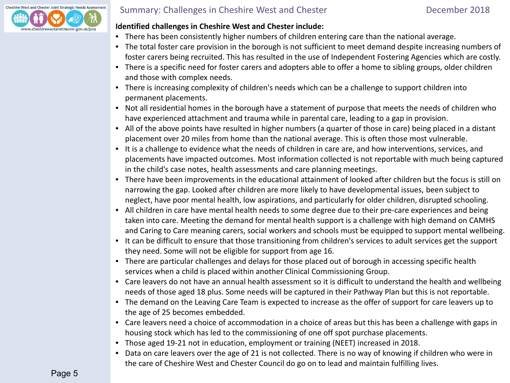<span id="page-4-0"></span>

# Summary: Challenges in Cheshire West and Chester **December 2018**

## **Identified challenges in Cheshire West and Chester include:**

- There has been consistently higher numbers of children entering care than the national average.
- The total foster care provision in the borough is not sufficient to meet demand despite increasing numbers of foster carers being recruited. This has resulted in the use of Independent Fostering Agencies which are costly.
- There is a specific need for foster carers and adopters able to offer a home to sibling groups, older children and those with complex needs.
- There is increasing complexity of children's needs which can be a challenge to support children into permanent placements.
- Not all residential homes in the borough have a statement of purpose that meets the needs of children who have experienced attachment and trauma while in parental care, leading to a gap in provision.
- All of the above points have resulted in higher numbers (a quarter of those in care) being placed in a distant placement over 20 miles from home than the national average. This is often those most vulnerable.
- It is a challenge to evidence what the needs of children in care are, and how interventions, services, and placements have impacted outcomes. Most information collected is not reportable with much being captured in the child's case notes, health assessments and care planning meetings.
- There have been improvements in the educational attainment of looked after children but the focus is still on narrowing the gap. Looked after children are more likely to have developmental issues, been subject to neglect, have poor mental health, low aspirations, and particularly for older children, disrupted schooling.
- All children in care have mental health needs to some degree due to their pre-care experiences and being taken into care. Meeting the demand for mental health support is a challenge with high demand on CAMHS and Caring to Care meaning carers, social workers and schools must be equipped to support mental wellbeing.
- It can be difficult to ensure that those transitioning from children's services to adult services get the support they need. Some will not be eligible for support from age 16.
- There are particular challenges and delays for those placed out of borough in accessing specific health services when a child is placed within another Clinical Commissioning Group.
- Care leavers do not have an annual health assessment so it is difficult to understand the health and wellbeing needs of those aged 18 plus. Some needs will be captured in their Pathway Plan but this is not reportable.
- The demand on the Leaving Care Team is expected to increase as the offer of support for care leavers up to the age of 25 becomes embedded.
- Care leavers need a choice of accommodation in a choice of areas but this has been a challenge with gaps in housing stock which has led to the commissioning of one off spot purchase placements.
- Those aged 19-21 not in education, employment or training (NEET) increased in 2018.
- Data on care leavers over the age of 21 is not collected. There is no way of knowing if children who were in the care of Cheshire West and Chester Council do go on to lead and maintain fulfilling lives.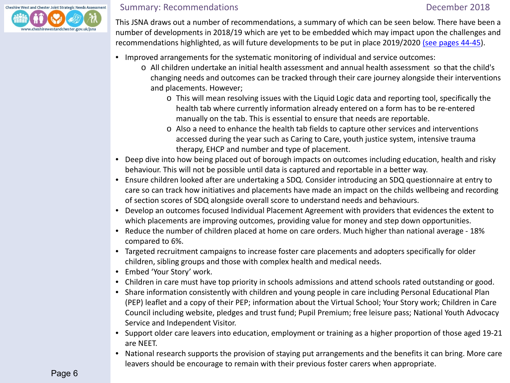<span id="page-5-0"></span>

# Summary: Recommendations and the commentations of the community: Recommendations of the community of the December 2018

 This JSNA draws out a number of recommendations, a summary of which can be seen below. There have been a number of developments in 2018/19 which are yet to be embedded which may impact upon the challenges and recommendations highlighted, as will future developments to be put in place 2019/2020 [\(see pages 44-45\)](#page-42-0).

- Improved arrangements for the systematic monitoring of individual and service outcomes:
	- o All children undertake an initial health assessment and annual health assessment so that the child's changing needs and outcomes can be tracked through their care journey alongside their interventions and placements. However;
		- o This will mean resolving issues with the Liquid Logic data and reporting tool, specifically the health tab where currently information already entered on a form has to be re-entered manually on the tab. This is essential to ensure that needs are reportable.
		- o Also a need to enhance the health tab fields to capture other services and interventions accessed during the year such as Caring to Care, youth justice system, intensive trauma therapy, EHCP and number and type of placement.
- Deep dive into how being placed out of borough impacts on outcomes including education, health and risky behaviour. This will not be possible until data is captured and reportable in a better way.
- Ensure children looked after are undertaking a SDQ. Consider introducing an SDQ questionnaire at entry to care so can track how initiatives and placements have made an impact on the childs wellbeing and recording of section scores of SDQ alongside overall score to understand needs and behaviours.
- Develop an outcomes focused Individual Placement Agreement with providers that evidences the extent to which placements are improving outcomes, providing value for money and step down opportunities.
- Reduce the number of children placed at home on care orders. Much higher than national average 18% compared to 6%.
- Targeted recruitment campaigns to increase foster care placements and adopters specifically for older children, sibling groups and those with complex health and medical needs.
- Embed 'Your Story' work.
- Children in care must have top priority in schools admissions and attend schools rated outstanding or good.
- Share information consistently with children and young people in care including Personal Educational Plan (PEP) leaflet and a copy of their PEP; information about the Virtual School; Your Story work; Children in Care Council including website, pledges and trust fund; Pupil Premium; free leisure pass; National Youth Advocacy Service and Independent Visitor.
- Support older care leavers into education, employment or training as a higher proportion of those aged 19-21 are NEET.
- National research supports the provision of staying put arrangements and the benefits it can bring. More care leavers should be encourage to remain with their previous foster carers when appropriate.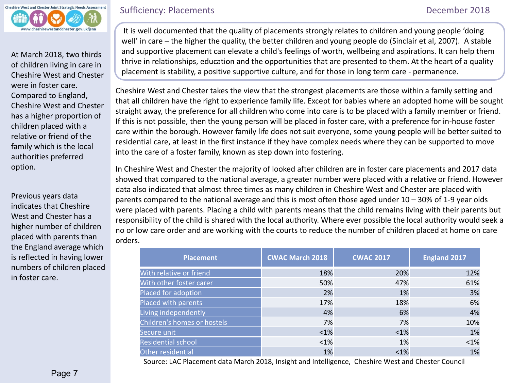<span id="page-6-0"></span>

At March 2018, two thirds of children living in care in Cheshire West and Chester were in foster care. Compared to England, Cheshire West and Chester has a higher proportion of children placed with a relative or friend of the family which is the local authorities preferred option.

Previous years data indicates that Cheshire West and Chester has a higher number of children placed with parents than the England average which is reflected in having lower numbers of children placed in foster care.

# Sufficiency: Placements **December 2018**

It is well documented that the quality of placements strongly relates to children and young people 'doing well' in care – the higher the quality, the better children and young people do (Sinclair et al, 2007). A stable and supportive placement can elevate a child's feelings of worth, wellbeing and aspirations. It can help them thrive in relationships, education and the opportunities that are presented to them. At the heart of a quality placement is stability, a positive supportive culture, and for those in long term care - permanence. ł

Cheshire West and Chester takes the view that the strongest placements are those within a family setting and that all children have the right to experience family life. Except for babies where an adopted home will be sought straight away, the preference for all children who come into care is to be placed with a family member or friend. If this is not possible, then the young person will be placed in foster care, with a preference for in-house foster care within the borough. However family life does not suit everyone, some young people will be better suited to residential care, at least in the first instance if they have complex needs where they can be supported to move into the care of a foster family, known as step down into fostering.

In Cheshire West and Chester the majority of looked after children are in foster care placements and 2017 data showed that compared to the national average, a greater number were placed with a relative or friend. However data also indicated that almost three times as many children in Cheshire West and Chester are placed with parents compared to the national average and this is most often those aged under 10 – 30% of 1-9 year olds were placed with parents. Placing a child with parents means that the child remains living with their parents but responsibility of the child is shared with the local authority. Where ever possible the local authority would seek a no or low care order and are working with the courts to reduce the number of children placed at home on care orders.

| <b>Placement</b>            | <b>CWAC March 2018</b> | <b>CWAC 2017</b> | <b>England 2017</b> |
|-----------------------------|------------------------|------------------|---------------------|
| With relative or friend     | 18%                    | 20%              | 12%                 |
| With other foster carer     | 50%                    | 47%              | 61%                 |
| Placed for adoption         | 2%                     | 1%               | 3%                  |
| Placed with parents         | 17%                    | 18%              | 6%                  |
| Living independently        | 4%                     | 6%               | 4%                  |
| Children's homes or hostels | 7%                     | 7%               | 10%                 |
| Secure unit                 | $<$ 1%                 | $<1\%$           | 1%                  |
| <b>Residential school</b>   | $<1\%$                 | 1%               | < 1%                |
| Other residential           | 1%                     | < 1%             | 1%                  |

Source: LAC Placement data March 2018, Insight and Intelligence, Cheshire West and Chester Council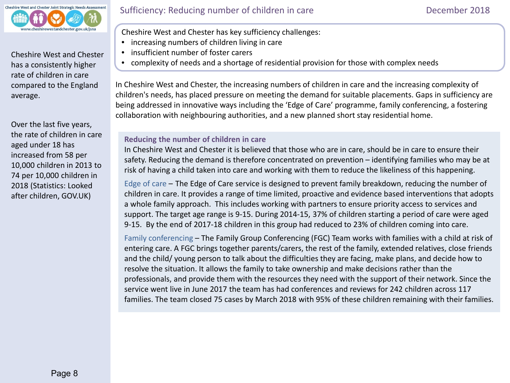

Cheshire West and Chester has a consistently higher rate of children in care compared to the England average.

Over the last five years, the rate of children in care aged under 18 has increased from 58 per 10,000 children in 2013 to 74 per 10,000 children in 2018 (Statistics: Looked after children, GOV.UK)

j Cheshire West and Chester has key sufficiency challenges:

- increasing numbers of children living in care
- insufficient number of foster carers
- complexity of needs and a shortage of residential provision for those with complex needs

In Cheshire West and Chester, the increasing numbers of children in care and the increasing complexity of children's needs, has placed pressure on meeting the demand for suitable placements. Gaps in sufficiency are being addressed in innovative ways including the 'Edge of Care' programme, family conferencing, a fostering collaboration with neighbouring authorities, and a new planned short stay residential home.

# **Reducing the number of children in care**

In Cheshire West and Chester it is believed that those who are in care, should be in care to ensure their safety. Reducing the demand is therefore concentrated on prevention – identifying families who may be at risk of having a child taken into care and working with them to reduce the likeliness of this happening.

Edge of care – The Edge of Care service is designed to prevent family breakdown, reducing the number of children in care. It provides a range of time limited, proactive and evidence based interventions that adopts a whole family approach. This includes working with partners to ensure priority access to services and support. The target age range is 9-15. During 2014-15, 37% of children starting a period of care were aged 9-15. By the end of 2017-18 children in this group had reduced to 23% of children coming into care.

Family conferencing – The Family Group Conferencing (FGC) Team works with families with a child at risk of entering care. A FGC brings together parents/carers, the rest of the family, extended relatives, close friends and the child/ young person to talk about the difficulties they are facing, make plans, and decide how to resolve the situation. It allows the family to take ownership and make decisions rather than the professionals, and provide them with the resources they need with the support of their network. Since the service went live in June 2017 the team has had conferences and reviews for 242 children across 117 families. The team closed 75 cases by March 2018 with 95% of these children remaining with their families.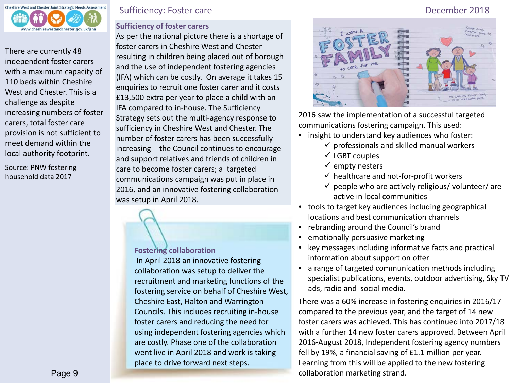

There are currently 48 independent foster carers with a maximum capacity of 110 beds within Cheshire West and Chester. This is a challenge as despite increasing numbers of foster carers, total foster care provision is not sufficient to meet demand within the local authority footprint.

Source: PNW fostering household data 2017

# Sufficiency: Foster care December 2018

# **Sufficiency of foster carers**

As per the national picture there is a shortage of foster carers in Cheshire West and Chester resulting in children being placed out of borough and the use of independent fostering agencies (IFA) which can be costly. On average it takes 15 enquiries to recruit one foster carer and it costs £13,500 extra per year to place a child with an IFA compared to in-house. The Sufficiency Strategy sets out the multi-agency response to sufficiency in Cheshire West and Chester. The number of foster carers has been successfully increasing - the Council continues to encourage and support relatives and friends of children in care to become foster carers; a targeted communications campaign was put in place in 2016, and an innovative fostering collaboration was setup in April 2018.

### **Fostering collaboration**

In April 2018 an innovative fostering collaboration was setup to deliver the recruitment and marketing functions of the fostering service on behalf of Cheshire West, Cheshire East, Halton and Warrington Councils. This includes recruiting in-house foster carers and reducing the need for using independent fostering agencies which are costly. Phase one of the collaboration went live in April 2018 and work is taking place to drive forward next steps.



2016 saw the implementation of a successful targeted communications fostering campaign. This used:

- insight to understand key audiences who foster:
	- $\checkmark$  professionals and skilled manual workers
	- $\checkmark$  LGBT couples
	- $\checkmark$  empty nesters
	- $\checkmark$  healthcare and not-for-profit workers
	- $\checkmark$  people who are actively religious/ volunteer/ are active in local communities
- tools to target key audiences including geographical locations and best communication channels
- rebranding around the Council's brand
- emotionally persuasive marketing
- key messages including informative facts and practical information about support on offer
- a range of targeted communication methods including specialist publications, events, outdoor advertising, Sky TV ads, radio and social media.

There was a 60% increase in fostering enquiries in 2016/17 compared to the previous year, and the target of 14 new foster carers was achieved. This has continued into 2017/18 with a further 14 new foster carers approved. Between April 2016-August 2018, Independent fostering agency numbers fell by 19%, a financial saving of £1.1 million per year. Learning from this will be applied to the new fostering collaboration marketing strand.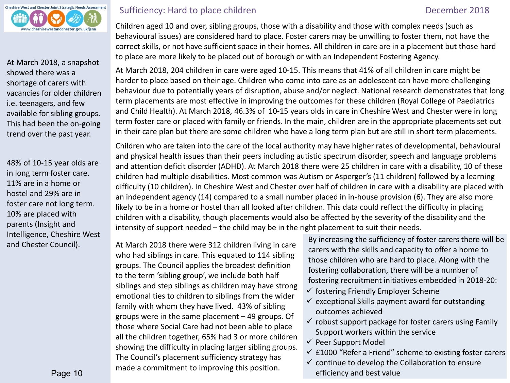

At March 2018, a snapshot showed there was a shortage of carers with vacancies for older children i.e. teenagers, and few available for sibling groups. This had been the on-going trend over the past year.

48% of 10-15 year olds are in long term foster care. 11% are in a home or hostel and 29% are in foster care not long term. 10% are placed with parents (Insight and Intelligence, Cheshire West and Chester Council).

# Sufficiency: Hard to place children **December 2018**

 Children aged 10 and over, sibling groups, those with a disability and those with complex needs (such as behavioural issues) are considered hard to place. Foster carers may be unwilling to foster them, not have the correct skills, or not have sufficient space in their homes. All children in care are in a placement but those hard to place are more likely to be placed out of borough or with an Independent Fostering Agency.

At March 2018, 204 children in care were aged 10-15. This means that 41% of all children in care might be harder to place based on their age. Children who come into care as an adolescent can have more challenging behaviour due to potentially years of disruption, abuse and/or neglect. National research demonstrates that long term placements are most effective in improving the outcomes for these children (Royal College of Paediatrics and Child Health). At March 2018, 46.3% of 10-15 years olds in care in Cheshire West and Chester were in long term foster care or placed with family or friends. In the main, children are in the appropriate placements set out in their care plan but there are some children who have a long term plan but are still in short term placements.

Children who are taken into the care of the local authority may have higher rates of developmental, behavioural and physical health issues than their peers including autistic spectrum disorder, speech and language problems and attention deficit disorder (ADHD). At March 2018 there were 25 children in care with a disability, 10 of these children had multiple disabilities. Most common was Autism or Asperger's (11 children) followed by a learning difficulty (10 children). In Cheshire West and Chester over half of children in care with a disability are placed with an independent agency (14) compared to a small number placed in in-house provision (6). They are also more likely to be in a home or hostel than all looked after children. This data could reflect the difficulty in placing children with a disability, though placements would also be affected by the severity of the disability and the intensity of support needed – the child may be in the right placement to suit their needs.

At March 2018 there were 312 children living in care who had siblings in care. This equated to 114 sibling groups. The Council applies the broadest definition to the term 'sibling group', we include both half siblings and step siblings as children may have strong emotional ties to children to siblings from the wider family with whom they have lived. 43% of sibling groups were in the same placement – 49 groups. Of those where Social Care had not been able to place all the children together, 65% had 3 or more children showing the difficulty in placing larger sibling groups. The Council's placement sufficiency strategy has made a commitment to improving this position.

By increasing the sufficiency of foster carers there will be carers with the skills and capacity to offer a home to those children who are hard to place. Along with the fostering collaboration, there will be a number of fostering recruitment initiatives embedded in 2018-20:

- $\checkmark$  fostering Friendly Employer Scheme
- $\checkmark$  exceptional Skills payment award for outstanding outcomes achieved
- $\checkmark$  robust support package for foster carers using Family Support workers within the service
- $\checkmark$  Peer Support Model
- $\checkmark$  £1000 "Refer a Friend" scheme to existing foster carers
- $\checkmark$  continue to develop the Collaboration to ensure efficiency and best value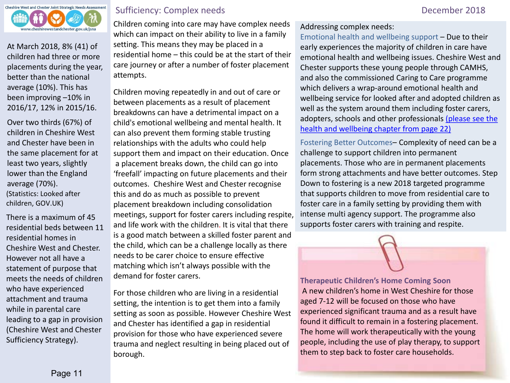

At March 2018, 8% (41) of children had three or more placements during the year, better than the national average (10%). This has been improving –10% in 2016/17, 12% in 2015/16.

Over two thirds (67%) of children in Cheshire West and Chester have been in the same placement for at least two years, slightly lower than the England average (70%). (Statistics: Looked after children, GOV.UK)

There is a maximum of 45 residential beds between 11 residential homes in Cheshire West and Chester. However not all have a statement of purpose that meets the needs of children who have experienced attachment and trauma while in parental care leading to a gap in provision (Cheshire West and Chester Sufficiency Strategy).

# Sufficiency: Complex needs **December 2018**

Children coming into care may have complex needs which can impact on their ability to live in a family setting. This means they may be placed in a residential home – this could be at the start of their care journey or after a number of foster placement attempts.

Children moving repeatedly in and out of care or between placements as a result of placement breakdowns can have a detrimental impact on a child's emotional wellbeing and mental health. It can also prevent them forming stable trusting relationships with the adults who could help support them and impact on their education. Once a placement breaks down, the child can go into 'freefall' impacting on future placements and their outcomes. Cheshire West and Chester recognise this and do as much as possible to prevent placement breakdown including consolidation meetings, support for foster carers including respite, and life work with the children. It is vital that there is a good match between a skilled foster parent and the child, which can be a challenge locally as there needs to be carer choice to ensure effective matching which isn't always possible with the demand for foster carers.

For those children who are living in a residential setting, the intention is to get them into a family setting as soon as possible. However Cheshire West and Chester has identified a gap in residential provision for those who have experienced severe trauma and neglect resulting in being placed out of borough.

# Addressing complex needs:

Emotional health and wellbeing support – Due to their early experiences the majority of children in care have emotional health and wellbeing issues. Cheshire West and Chester supports these young people through CAMHS, and also the commissioned Caring to Care programme which delivers a wrap-around emotional health and wellbeing service for looked after and adopted children as well as the system around them including foster carers, adopters, schools and other professionals [\(please see the](#page-21-0)  [health and wellbeing chapter from page 22\)](#page-21-0)

Fostering Better Outcomes– Complexity of need can be a challenge to support children into permanent placements. Those who are in permanent placements form strong attachments and have better outcomes. Step Down to fostering is a new 2018 targeted programme that supports children to move from residential care to foster care in a family setting by providing them with intense multi agency support. The programme also supports foster carers with training and respite.

**Therapeutic Children's Home Coming Soon** A new children's home in West Cheshire for those aged 7-12 will be focused on those who have experienced significant trauma and as a result have found it difficult to remain in a fostering placement. The home will work therapeutically with the young people, including the use of play therapy, to support them to step back to foster care households.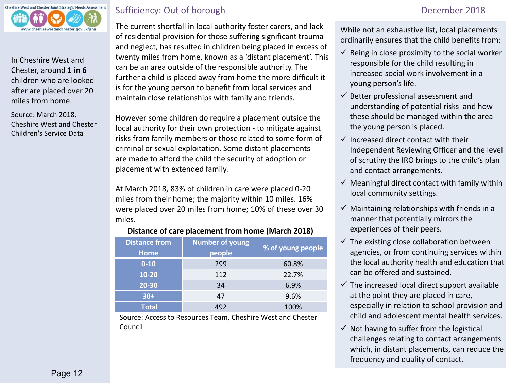

In Cheshire West and Chester, around **1 in 6**  children who are looked after are placed over 20 miles from home.

Source: March 2018, Cheshire West and Chester Children's Service Data

# Sufficiency: Out of borough December 2018

 The current shortfall in local authority foster carers, and lack of residential provision for those suffering significant trauma and neglect, has resulted in children being placed in excess of twenty miles from home, known as a 'distant placement'. This can be an area outside of the responsible authority. The further a child is placed away from home the more difficult it is for the young person to benefit from local services and maintain close relationships with family and friends.

However some children do require a placement outside the local authority for their own protection - to mitigate against risks from family members or those related to some form of criminal or sexual exploitation. Some distant placements are made to afford the child the security of adoption or placement with extended family.

At March 2018, 83% of children in care were placed 0-20 miles from their home; the majority within 10 miles. 16% were placed over 20 miles from home; 10% of these over 30 miles.

### **Distance of care placement from home (March 2018)**

| <b>Distance from</b><br><b>Home</b> | <b>Number of young</b><br>people | % of young people |
|-------------------------------------|----------------------------------|-------------------|
| $0 - 10$                            | 299                              | 60.8%             |
| $10 - 20$                           | 112                              | 22.7%             |
| 20-30                               | 34                               | 6.9%              |
| $30+$                               | 47                               | 9.6%              |
| Total                               | 492                              | 100%              |

Source: Access to Resources Team, Cheshire West and Chester Council

While not an exhaustive list, local placements ordinarily ensures that the child benefits from:

- $\checkmark$  Being in close proximity to the social worker responsible for the child resulting in increased social work involvement in a young person's life.
- $\checkmark$  Better professional assessment and understanding of potential risks and how these should be managed within the area the young person is placed.
- $\checkmark$  Increased direct contact with their Independent Reviewing Officer and the level of scrutiny the IRO brings to the child's plan and contact arrangements.
- $\checkmark$  Meaningful direct contact with family within local community settings.
- $\checkmark$  Maintaining relationships with friends in a manner that potentially mirrors the experiences of their peers.
- $\checkmark$  The existing close collaboration between agencies, or from continuing services within the local authority health and education that can be offered and sustained.
- $\checkmark$  The increased local direct support available at the point they are placed in care, especially in relation to school provision and child and adolescent mental health services.
- $\checkmark$  Not having to suffer from the logistical challenges relating to contact arrangements which, in distant placements, can reduce the frequency and quality of contact.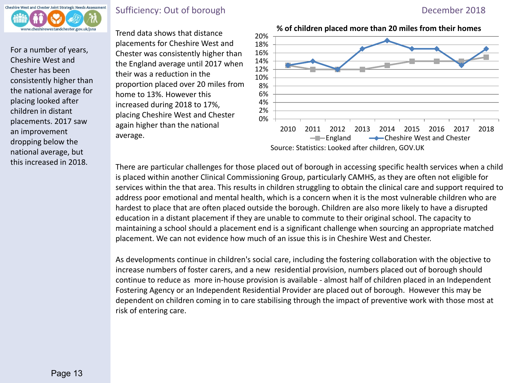

For a number of years, Cheshire West and Chester has been consistently higher than the national average for placing looked after children in distant placements. 2017 saw an improvement dropping below the national average, but

# Sufficiency: Out of borough December 2018

Trend data shows that distance placements for Cheshire West and Chester was consistently higher than the England average until 2017 when their was a reduction in the proportion placed over 20 miles from home to 13%. However this increased during 2018 to 17%, placing Cheshire West and Chester again higher than the national average.



this increased in 2018. There are particular challenges for those placed out of borough in accessing specific health services when a child is placed within another Clinical Commissioning Group, particularly CAMHS, as they are often not eligible for services within the that area. This results in children struggling to obtain the clinical care and support required to address poor emotional and mental health, which is a concern when it is the most vulnerable children who are hardest to place that are often placed outside the borough. Children are also more likely to have a disrupted education in a distant placement if they are unable to commute to their original school. The capacity to maintaining a school should a placement end is a significant challenge when sourcing an appropriate matched placement. We can not evidence how much of an issue this is in Cheshire West and Chester.

> As developments continue in children's social care, including the fostering collaboration with the objective to increase numbers of foster carers, and a new residential provision, numbers placed out of borough should continue to reduce as more in-house provision is available - almost half of children placed in an Independent Fostering Agency or an Independent Residential Provider are placed out of borough. However this may be dependent on children coming in to care stabilising through the impact of preventive work with those most at risk of entering care.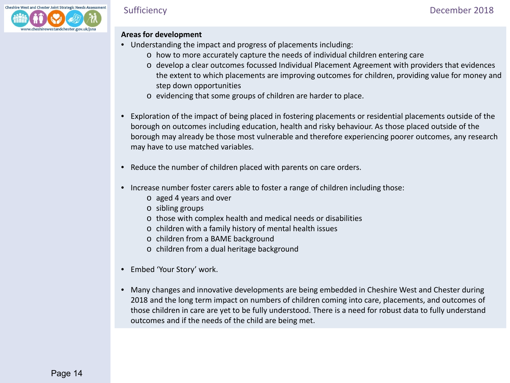### **Areas for development**

- Understanding the impact and progress of placements including:
	- o how to more accurately capture the needs of individual children entering care
	- o develop a clear outcomes focussed Individual Placement Agreement with providers that evidences the extent to which placements are improving outcomes for children, providing value for money and step down opportunities
	- o evidencing that some groups of children are harder to place.
- Exploration of the impact of being placed in fostering placements or residential placements outside of the borough on outcomes including education, health and risky behaviour. As those placed outside of the borough may already be those most vulnerable and therefore experiencing poorer outcomes, any research may have to use matched variables.
- Reduce the number of children placed with parents on care orders.
- Increase number foster carers able to foster a range of children including those:
	- o aged 4 years and over
	- o sibling groups
	- o those with complex health and medical needs or disabilities
	- o children with a family history of mental health issues
	- o children from a BAME background
	- o children from a dual heritage background
- Embed 'Your Story' work.
- Many changes and innovative developments are being embedded in Cheshire West and Chester during 2018 and the long term impact on numbers of children coming into care, placements, and outcomes of those children in care are yet to be fully understood. There is a need for robust data to fully understand outcomes and if the needs of the child are being met.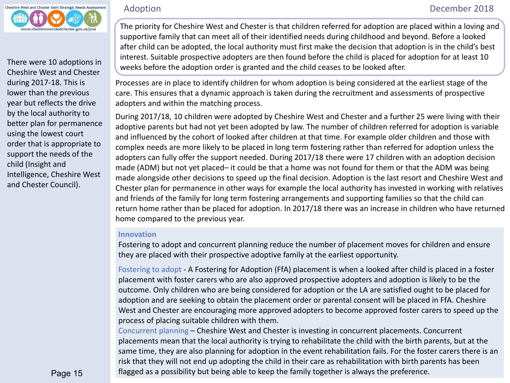<span id="page-14-0"></span>

Cheshire West and Chester during 2017-18. This is lower than the previous year but reflects the drive by the local authority to better plan for permanence using the lowest court order that is appropriate to support the needs of the child (Insight and Intelligence, Cheshire West and Chester Council).

 The priority for Cheshire West and Chester is that children referred for adoption are placed within a loving and supportive family that can meet all of their identified needs during childhood and beyond. Before a looked after child can be adopted, the local authority must first make the decision that adoption is in the child's best interest. Suitable prospective adopters are then found before the child is placed for adoption for at least 10 There were 10 adoptions in weeks before the adoption order is granted and the child ceases to be looked after.

> Processes are in place to identify children for whom adoption is being considered at the earliest stage of the care. This ensures that a dynamic approach is taken during the recruitment and assessments of prospective adopters and within the matching process.

During 2017/18, 10 children were adopted by Cheshire West and Chester and a further 25 were living with their adoptive parents but had not yet been adopted by law. The number of children referred for adoption is variable and influenced by the cohort of looked after children at that time. For example older children and those with complex needs are more likely to be placed in long term fostering rather than referred for adoption unless the adopters can fully offer the support needed. During 2017/18 there were 17 children with an adoption decision made (ADM) but not yet placed– it could be that a home was not found for them or that the ADM was being made alongside other decisions to speed up the final decision. Adoption is the last resort and Cheshire West and Chester plan for permanence in other ways for example the local authority has invested in working with relatives and friends of the family for long term fostering arrangements and supporting families so that the child can return home rather than be placed for adoption. In 2017/18 there was an increase in children who have returned home compared to the previous year.

## **Innovation**

Fostering to adopt and concurrent planning reduce the number of placement moves for children and ensure they are placed with their prospective adoptive family at the earliest opportunity.

Fostering to adopt - A Fostering for Adoption (FfA) placement is when a looked after child is placed in a foster placement with foster carers who are also approved prospective adopters and adoption is likely to be the outcome. Only children who are being considered for adoption or the LA are satisfied ought to be placed for adoption and are seeking to obtain the placement order or parental consent will be placed in FfA. Cheshire West and Chester are encouraging more approved adopters to become approved foster carers to speed up the process of placing suitable children with them.

Concurrent planning – Cheshire West and Chester is investing in concurrent placements. Concurrent placements mean that the local authority is trying to rehabilitate the child with the birth parents, but at the same time, they are also planning for adoption in the event rehabilitation fails. For the foster carers there is an risk that they will not end up adopting the child in their care as rehabilitation with birth parents has been flagged as a possibility but being able to keep the family together is always the preference.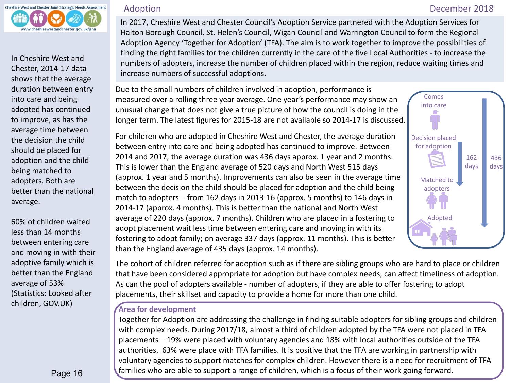

In Cheshire West and Chester, 2014-17 data shows that the average duration between entry into care and being adopted has continued to improve, as has the average time between the decision the child should be placed for adoption and the child being matched to adopters. Both are better than the national average.

60% of children waited less than 14 months between entering care and moving in with their adoptive family which is better than the England average of 53% (Statistics: Looked after children, GOV.UK)

 In 2017, Cheshire West and Chester Council's Adoption Service partnered with the Adoption Services for Halton Borough Council, St. Helen's Council, Wigan Council and Warrington Council to form the Regional Adoption Agency 'Together for Adoption' (TFA). The aim is to work together to improve the possibilities of finding the right families for the children currently in the care of the five Local Authorities - to increase the numbers of adopters, increase the number of children placed within the region, reduce waiting times and increase numbers of successful adoptions.

Due to the small numbers of children involved in adoption, performance is measured over a rolling three year average. One year's performance may show an unusual change that does not give a true picture of how the council is doing in the longer term. The latest figures for 2015-18 are not available so 2014-17 is discussed.

For children who are adopted in Cheshire West and Chester, the average duration between entry into care and being adopted has continued to improve. Between 2014 and 2017, the average duration was 436 days approx. 1 year and 2 months. This is lower than the England average of 520 days and North West 515 days (approx. 1 year and 5 months). Improvements can also be seen in the average time between the decision the child should be placed for adoption and the child being match to adopters - from 162 days in 2013-16 (approx. 5 months) to 146 days in 2014-17 (approx. 4 months). This is better than the national and North West average of 220 days (approx. 7 months). Children who are placed in a fostering to adopt placement wait less time between entering care and moving in with its fostering to adopt family; on average 337 days (approx. 11 months). This is better than the England average of 435 days (approx. 14 months).



The cohort of children referred for adoption such as if there are sibling groups who are hard to place or children that have been considered appropriate for adoption but have complex needs, can affect timeliness of adoption. As can the pool of adopters available - number of adopters, if they are able to offer fostering to adopt placements, their skillset and capacity to provide a home for more than one child.

# **Area for development**

Together for Adoption are addressing the challenge in finding suitable adopters for sibling groups and children with complex needs. During 2017/18, almost a third of children adopted by the TFA were not placed in TFA placements – 19% were placed with voluntary agencies and 18% with local authorities outside of the TFA authorities. 63% were place with TFA families. It is positive that the TFA are working in partnership with voluntary agencies to support matches for complex children. However there is a need for recruitment of TFA families who are able to support a range of children, which is a focus of their work going forward.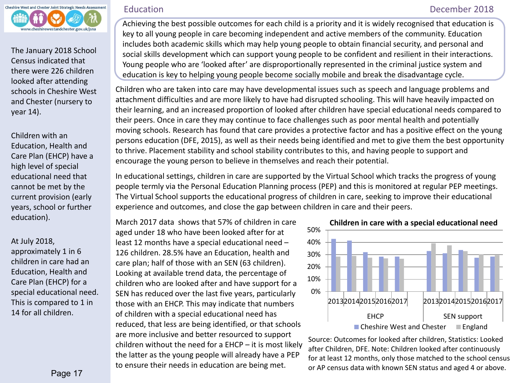<span id="page-16-0"></span>

The January 2018 School Census indicated that there were 226 children looked after attending schools in Cheshire West and Chester (nursery to year 14).

Children with an Education, Health and Care Plan (EHCP) have a high level of special educational need that cannot be met by the current provision (early years, school or further education).

At July 2018,

approximately 1 in 6 children in care had an Education, Health and Care Plan (EHCP) for a special educational need. This is compared to 1 in 14 for all children.

Education December 2018

Achieving the best possible outcomes for each child is a priority and it is widely recognised that education is key to all young people in care becoming independent and active members of the community. Education includes both academic skills which may help young people to obtain financial security, and personal and social skills development which can support young people to be confident and resilient in their interactions. Young people who are 'looked after' are disproportionally represented in the criminal justice system and education is key to helping young people become socially mobile and break the disadvantage cycle.

Children who are taken into care may have developmental issues such as speech and language problems and attachment difficulties and are more likely to have had disrupted schooling. This will have heavily impacted on their learning, and an increased proportion of looked after children have special educational needs compared to their peers. Once in care they may continue to face challenges such as poor mental health and potentially moving schools. Research has found that care provides a protective factor and has a positive effect on the young persons education (DFE, 2015), as well as their needs being identified and met to give them the best opportunity to thrive. Placement stability and school stability contributes to this, and having people to support and encourage the young person to believe in themselves and reach their potential.

In educational settings, children in care are supported by the Virtual School which tracks the progress of young people termly via the Personal Education Planning process (PEP) and this is monitored at regular PEP meetings. The Virtual School supports the educational progress of children in care, seeking to improve their educational experience and outcomes, and close the gap between children in care and their peers.

March 2017 data shows that 57% of children in care aged under 18 who have been looked after for at least 12 months have a special educational need – 126 children. 28.5% have an Education, health and care plan; half of those with an SEN (63 children). Looking at available trend data, the percentage of children who are looked after and have support for a SEN has reduced over the last five years, particularly those with an EHCP. This may indicate that numbers of children with a special educational need has reduced, that less are being identified, or that schools are more inclusive and better resourced to support children without the need for a EHCP – it is most likely the latter as the young people will already have a PEP to ensure their needs in education are being met.



Source: Outcomes for looked after children, Statistics: Looked after Children, DFE. Note: Children looked after continuously for at least 12 months, only those matched to the school census or AP census data with known SEN status and aged 4 or above.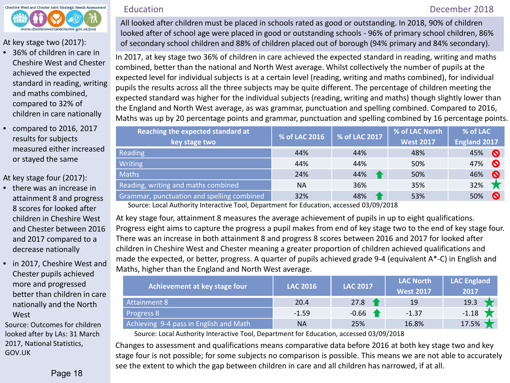

At key stage two (2017):

- 36% of children in care in Cheshire West and Chester achieved the expected standard in reading, writing and maths combined, compared to 32% of children in care nationally
- compared to 2016, 2017 results for subjects measured either increased or stayed the same

At key stage four (2017):

- there was an increase in attainment 8 and progress 8 scores for looked after children in Cheshire West and Chester between 2016 and 2017 compared to a decrease nationally
- in 2017, Cheshire West and Chester pupils achieved more and progressed better than children in care nationally and the North **West**

Source: Outcomes for children looked after by LAs: 31 March 2017, National Statistics, GOV.UK

# Education **December 2018**

All looked after children must be placed in schools rated as good or outstanding. In 2018, 90% of children looked after of school age were placed in good or outstanding schools - 96% of primary school children, 86% of secondary school children and 88% of children placed out of borough (94% primary and 84% secondary).

In 2017, at key stage two 36% of children in care achieved the expected standard in reading, writing and maths combined, better than the national and North West average. Whilst collectively the number of pupils at the expected level for individual subjects is at a certain level (reading, writing and maths combined), for individual pupils the results across all the three subjects may be quite different. The percentage of children meeting the expected standard was higher for the individual subjects (reading, writing and maths) though slightly lower than the England and North West average, as was grammar, punctuation and spelling combined. Compared to 2016, Maths was up by 20 percentage points and grammar, punctuation and spelling combined by 16 percentage points.

| Reaching the expected standard at<br>key stage two | % of LAC 2016 | % of LAC 2017 | % of LAC North<br><b>West 2017</b> | % of LAC<br><b>England 2017</b> |
|----------------------------------------------------|---------------|---------------|------------------------------------|---------------------------------|
| <b>Reading</b>                                     | 44%           | 44%           | 48%                                | 45%<br>$\boldsymbol{\Omega}$    |
| <b>Writing</b>                                     | 44%           | 44%           | 50%                                | $\boldsymbol{\Omega}$<br>47%    |
| <b>Maths</b>                                       | 24%           | 44%           | 50%                                | 46%<br>$\boldsymbol{\Omega}$    |
| Reading, writing and maths combined                | <b>NA</b>     | 36%           | 35%                                | 32%                             |
| Grammar, punctuation and spelling combined         | 32%           | 48%           | 53%                                | $\boldsymbol{\Omega}$<br>50%    |

Source: Local Authority Interactive Tool, Department for Education, accessed 03/09/2018

At key stage four, attainment 8 measures the average achievement of pupils in up to eight qualifications. Progress eight aims to capture the progress a pupil makes from end of key stage two to the end of key stage four. There was an increase in both attainment 8 and progress 8 scores between 2016 and 2017 for looked after children in Cheshire West and Chester meaning a greater proportion of children achieved qualifications and made the expected, or better, progress. A quarter of pupils achieved grade 9-4 (equivalent A\*-C) in English and Maths, higher than the England and North West average.

| Achievement at key stage four          | <b>LAC 2016</b> | <b>LAC 2017</b> | <b>LAC North</b><br><b>West 2017</b> | <b>LAC England</b><br>2017 |
|----------------------------------------|-----------------|-----------------|--------------------------------------|----------------------------|
| Attainment 8                           | 20.4            | 27.8            | 19                                   | 19.3                       |
| Progress 8                             | $-1.59$         | $-0.66$         | $-1.37$                              | $-1.18$                    |
| Achieving 9-4 pass in English and Math | <b>NA</b>       | 25%             | 16.8%                                | 17.5%                      |

Source: Local Authority Interactive Tool, Department for Education, accessed 03/09/2018

Changes to assessment and qualifications means comparative data before 2016 at both key stage two and key stage four is not possible; for some subjects no comparison is possible. This means we are not able to accurately see the extent to which the gap between children in care and all children has narrowed, if at all.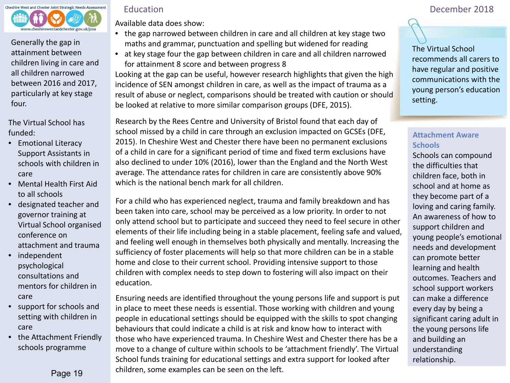

Generally the gap in attainment between children living in care and all children narrowed between 2016 and 2017, particularly at key stage four.

The Virtual School has funded:

- Emotional Literacy Support Assistants in schools with children in care
- Mental Health First Aid to all schools
- designated teacher and governor training at Virtual School organised conference on attachment and trauma
- independent psychological consultations and mentors for children in care
- support for schools and setting with children in care
- the Attachment Friendly schools programme

Available data does show:

- the gap narrowed between children in care and all children at key stage two maths and grammar, punctuation and spelling but widened for reading
- at key stage four the gap between children in care and all children narrowed for attainment 8 score and between progress 8

Looking at the gap can be useful, however research highlights that given the high incidence of SEN amongst children in care, as well as the impact of trauma as a result of abuse or neglect, comparisons should be treated with caution or should be looked at relative to more similar comparison groups (DFE, 2015).

Research by the Rees Centre and University of Bristol found that each day of school missed by a child in care through an exclusion impacted on GCSEs (DFE, 2015). In Cheshire West and Chester there have been no permanent exclusions of a child in care for a significant period of time and fixed term exclusions have also declined to under 10% (2016), lower than the England and the North West average. The attendance rates for children in care are consistently above 90% which is the national bench mark for all children.

For a child who has experienced neglect, trauma and family breakdown and has been taken into care, school may be perceived as a low priority. In order to not only attend school but to participate and succeed they need to feel secure in other elements of their life including being in a stable placement, feeling safe and valued, and feeling well enough in themselves both physically and mentally. Increasing the sufficiency of foster placements will help so that more children can be in a stable home and close to their current school. Providing intensive support to those children with complex needs to step down to fostering will also impact on their education.

Ensuring needs are identified throughout the young persons life and support is put in place to meet these needs is essential. Those working with children and young people in educational settings should be equipped with the skills to spot changing behaviours that could indicate a child is at risk and know how to interact with those who have experienced trauma. In Cheshire West and Chester there has be a move to a change of culture within schools to be 'attachment friendly'. The Virtual School funds training for educational settings and extra support for looked after children, some examples can be seen on the left.

# Education December 2018



The Virtual School recommends all carers to have regular and positive communications with the young person's education setting.

# **Attachment Aware Schools**

Schools can compound the difficulties that children face, both in school and at home as they become part of a loving and caring family. An awareness of how to support children and young people's emotional needs and development can promote better learning and health outcomes. Teachers and school support workers can make a difference every day by being a significant caring adult in the young persons life and building an understanding relationship.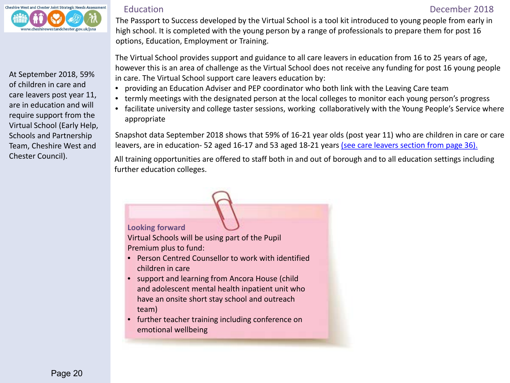

At September 2018, 59% of children in care and care leavers post year 11, are in education and will require support from the Virtual School (Early Help, Schools and Partnership Team, Cheshire West and Chester Council).

### Education December 2018

 The Passport to Success developed by the Virtual School is a tool kit introduced to young people from early in high school. It is completed with the young person by a range of professionals to prepare them for post 16 options, Education, Employment or Training.

The Virtual School provides support and guidance to all care leavers in education from 16 to 25 years of age, however this is an area of challenge as the Virtual School does not receive any funding for post 16 young people in care. The Virtual School support care leavers education by:

- providing an Education Adviser and PEP coordinator who both link with the Leaving Care team
- termly meetings with the designated person at the local colleges to monitor each young person's progress
- facilitate university and college taster sessions, working collaboratively with the Young People's Service where appropriate

Snapshot data September 2018 shows that 59% of 16-21 year olds (post year 11) who are children in care or care leavers, are in education- 52 aged 16-17 and 53 aged 18-21 years [\(see care leavers section from page 36\).](#page-34-0)

All training opportunities are offered to staff both in and out of borough and to all education settings including further education colleges.

# **Looking forward**

Virtual Schools will be using part of the Pupil Premium plus to fund:

- Person Centred Counsellor to work with identified children in care
- support and learning from Ancora House (child and adolescent mental health inpatient unit who have an onsite short stay school and outreach team)
- further teacher training including conference on emotional wellbeing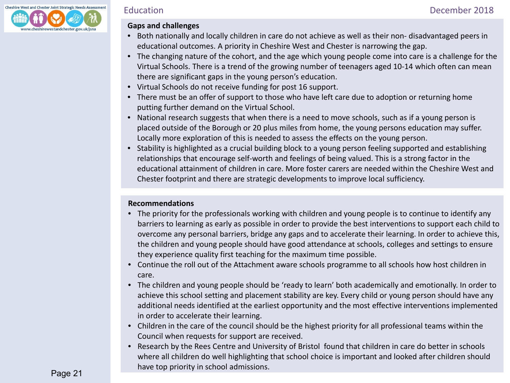

### **Gaps and challenges**

- Both nationally and locally children in care do not achieve as well as their non- disadvantaged peers in educational outcomes. A priority in Cheshire West and Chester is narrowing the gap.
- The changing nature of the cohort, and the age which young people come into care is a challenge for the Virtual Schools. There is a trend of the growing number of teenagers aged 10-14 which often can mean there are significant gaps in the young person's education.
- Virtual Schools do not receive funding for post 16 support.
- There must be an offer of support to those who have left care due to adoption or returning home putting further demand on the Virtual School.
- National research suggests that when there is a need to move schools, such as if a young person is placed outside of the Borough or 20 plus miles from home, the young persons education may suffer. Locally more exploration of this is needed to assess the effects on the young person.
- Stability is highlighted as a crucial building block to a young person feeling supported and establishing relationships that encourage self-worth and feelings of being valued. This is a strong factor in the educational attainment of children in care. More foster carers are needed within the Cheshire West and Chester footprint and there are strategic developments to improve local sufficiency.

# **Recommendations**

- The priority for the professionals working with children and young people is to continue to identify any barriers to learning as early as possible in order to provide the best interventions to support each child to overcome any personal barriers, bridge any gaps and to accelerate their learning. In order to achieve this, the children and young people should have good attendance at schools, colleges and settings to ensure they experience quality first teaching for the maximum time possible.
- Continue the roll out of the Attachment aware schools programme to all schools how host children in care.
- The children and young people should be 'ready to learn' both academically and emotionally. In order to achieve this school setting and placement stability are key. Every child or young person should have any additional needs identified at the earliest opportunity and the most effective interventions implemented in order to accelerate their learning.
- Children in the care of the council should be the highest priority for all professional teams within the Council when requests for support are received.
- Research by the Rees Centre and University of Bristol found that children in care do better in schools where all children do well highlighting that school choice is important and looked after children should have top priority in school admissions.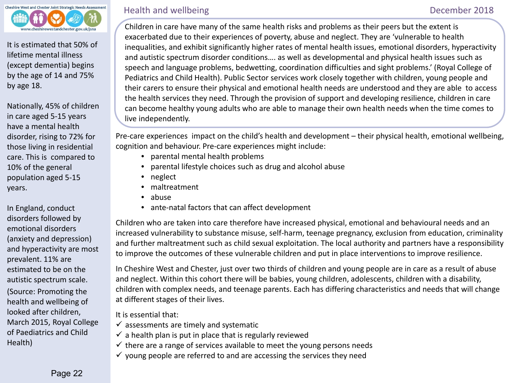<span id="page-21-0"></span>

It is estimated that 50% of lifetime mental illness (except dementia) begins by the age of 14 and 75% by age 18.

Nationally, 45% of children in care aged 5-15 years have a mental health disorder, rising to 72% for those living in residential care. This is compared to 10% of the general population aged 5-15 years.

In England, conduct disorders followed by emotional disorders (anxiety and depression) and hyperactivity are most prevalent. 11% are estimated to be on the autistic spectrum scale. (Source: Promoting the health and wellbeing of looked after children, March 2015, Royal College of Paediatrics and Child Health)

# Health and wellbeing and the contract of the contract of the December 2018

 Children in care have many of the same health risks and problems as their peers but the extent is exacerbated due to their experiences of poverty, abuse and neglect. They are 'vulnerable to health inequalities, and exhibit significantly higher rates of mental health issues, emotional disorders, hyperactivity and autistic spectrum disorder conditions…. as well as developmental and physical health issues such as speech and language problems, bedwetting, coordination difficulties and sight problems.' (Royal College of Pediatrics and Child Health). Public Sector services work closely together with children, young people and their carers to ensure their physical and emotional health needs are understood and they are able to access the health services they need. Through the provision of support and developing resilience, children in care can become healthy young adults who are able to manage their own health needs when the time comes to live independently.

Pre-care experiences impact on the child's health and development – their physical health, emotional wellbeing, cognition and behaviour. Pre-care experiences might include:

- parental mental health problems
- parental lifestyle choices such as drug and alcohol abuse
- neglect
- maltreatment
- abuse
- ante-natal factors that can affect development

Children who are taken into care therefore have increased physical, emotional and behavioural needs and an increased vulnerability to substance misuse, self-harm, teenage pregnancy, exclusion from education, criminality and further maltreatment such as child sexual exploitation. The local authority and partners have a responsibility to improve the outcomes of these vulnerable children and put in place interventions to improve resilience.

In Cheshire West and Chester, just over two thirds of children and young people are in care as a result of abuse and neglect. Within this cohort there will be babies, young children, adolescents, children with a disability, children with complex needs, and teenage parents. Each has differing characteristics and needs that will change at different stages of their lives.

It is essential that:

- $\checkmark$  assessments are timely and systematic
- $\checkmark$  a health plan is put in place that is regularly reviewed
- $\checkmark$  there are a range of services available to meet the young persons needs
- $\checkmark$  young people are referred to and are accessing the services they need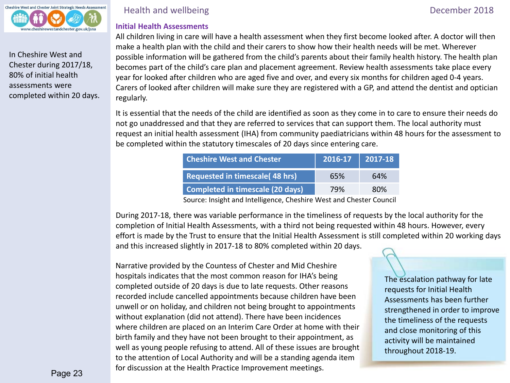

In Cheshire West and Chester during 2017/18, 80% of initial health assessments were completed within 20 days. Health and wellbeing **December 2018** 

# **Initial Health Assessments**

All children living in care will have a health assessment when they first become looked after. A doctor will then make a health plan with the child and their carers to show how their health needs will be met. Wherever possible information will be gathered from the child's parents about their family health history. The health plan becomes part of the child's care plan and placement agreement. Review health assessments take place every year for looked after children who are aged five and over, and every six months for children aged 0-4 years. Carers of looked after children will make sure they are registered with a GP, and attend the dentist and optician regularly.

It is essential that the needs of the child are identified as soon as they come in to care to ensure their needs do not go unaddressed and that they are referred to services that can support them. The local authority must request an initial health assessment (IHA) from community paediatricians within 48 hours for the assessment to be completed within the statutory timescales of 20 days since entering care.

| <b>Cheshire West and Chester</b>       | 2016-17 | $\mid$ 2017-18 |
|----------------------------------------|---------|----------------|
| <b>Requested in timescale (48 hrs)</b> | 65%     | 64%            |
| Completed in timescale (20 days)       | 79%     | 80%            |

Source: Insight and Intelligence, Cheshire West and Chester Council

During 2017-18, there was variable performance in the timeliness of requests by the local authority for the completion of Initial Health Assessments, with a third not being requested within 48 hours. However, every effort is made by the Trust to ensure that the Initial Health Assessment is still completed within 20 working days and this increased slightly in 2017-18 to 80% completed within 20 days.

Narrative provided by the Countess of Chester and Mid Cheshire hospitals indicates that the most common reason for IHA's being completed outside of 20 days is due to late requests. Other reasons recorded include cancelled appointments because children have been unwell or on holiday, and children not being brought to appointments without explanation (did not attend). There have been incidences where children are placed on an Interim Care Order at home with their birth family and they have not been brought to their appointment, as well as young people refusing to attend. All of these issues are brought to the attention of Local Authority and will be a standing agenda item for discussion at the Health Practice Improvement meetings.

The escalation pathway for late requests for Initial Health Assessments has been further strengthened in order to improve the timeliness of the requests and close monitoring of this activity will be maintained throughout 2018-19.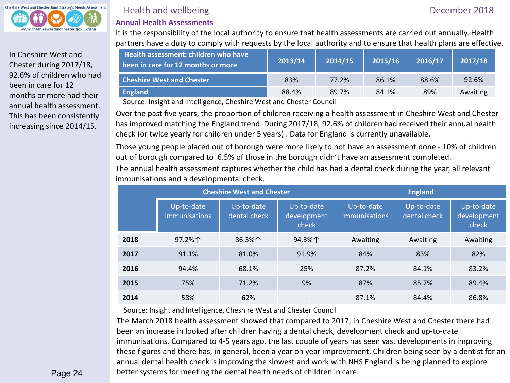

In Cheshire West and Chester during 2017/18, 92.6% of children who had been in care for 12 months or more had their annual health assessment. This has been consistently increasing since 2014/15.

# Health and wellbeing **December 2018**

## **Annual Health Assessments**

It is the responsibility of the local authority to ensure that health assessments are carried out annually. Health partners have a duty to comply with requests by the local authority and to ensure that health plans are effective.

| Health assessment: children who have<br>been in care for 12 months or more | 2013/14 | 2014/15 | 2015/16 | 2016/17 | 2017/18  |
|----------------------------------------------------------------------------|---------|---------|---------|---------|----------|
| <b>Cheshire West and Chester</b>                                           | 83%     | 77.2%   | 86.1%   | 88.6%   | 92.6%    |
| <b>England</b>                                                             | 88.4%   | 89.7%   | 84.1%   | 89%     | Awaiting |

Source: Insight and Intelligence, Cheshire West and Chester Council

Over the past five years, the proportion of children receiving a health assessment in Cheshire West and Chester has improved matching the England trend. During 2017/18, 92.6% of children had received their annual health check (or twice yearly for children under 5 years) . Data for England is currently unavailable.

Those young people placed out of borough were more likely to not have an assessment done - 10% of children out of borough compared to 6.5% of those in the borough didn't have an assessment completed.

The annual health assessment captures whether the child has had a dental check during the year, all relevant immunisations and a developmental check.

|      | <b>Cheshire West and Chester</b>   |                            | <b>England</b>                     |                                    |                            |                                    |
|------|------------------------------------|----------------------------|------------------------------------|------------------------------------|----------------------------|------------------------------------|
|      | Up-to-date<br><i>immunisations</i> | Up-to-date<br>dental check | Up-to-date<br>development<br>check | Up-to-date<br><i>immunisations</i> | Up-to-date<br>dental check | Up-to-date<br>development<br>check |
| 2018 | 97.2%个                             | 86.3%个                     | 94.3%个                             | Awaiting                           | Awaiting                   | Awaiting                           |
| 2017 | 91.1%                              | 81.0%                      | 91.9%                              | 84%                                | 83%                        | 82%                                |
| 2016 | 94.4%                              | 68.1%                      | 25%                                | 87.2%                              | 84.1%                      | 83.2%                              |
| 2015 | 75%                                | 71.2%                      | 9%                                 | 87%                                | 85.7%                      | 89.4%                              |
| 2014 | 58%                                | 62%                        | $\overline{\phantom{a}}$           | 87.1%                              | 84.4%                      | 86.8%                              |

Source: Insight and Intelligence, Cheshire West and Chester Council

The March 2018 health assessment showed that compared to 2017, in Cheshire West and Chester there had been an increase in looked after children having a dental check, development check and up-to-date immunisations. Compared to 4-5 years ago, the last couple of years has seen vast developments in improving these figures and there has, in general, been a year on year improvement. Children being seen by a dentist for an annual dental health check is improving the slowest and work with NHS England is being planned to explore better systems for meeting the dental health needs of children in care.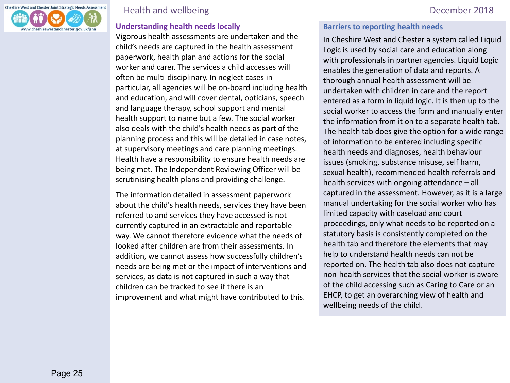

# Health and wellbeing **December 2018**

### **Understanding health needs locally**

Vigorous health assessments are undertaken and the child's needs are captured in the health assessment paperwork, health plan and actions for the social worker and carer. The services a child accesses will often be multi-disciplinary. In neglect cases in particular, all agencies will be on-board including health and education, and will cover dental, opticians, speech and language therapy, school support and mental health support to name but a few. The social worker also deals with the child's health needs as part of the planning process and this will be detailed in case notes, at supervisory meetings and care planning meetings. Health have a responsibility to ensure health needs are being met. The Independent Reviewing Officer will be scrutinising health plans and providing challenge.

The information detailed in assessment paperwork about the child's health needs, services they have been referred to and services they have accessed is not currently captured in an extractable and reportable way. We cannot therefore evidence what the needs of looked after children are from their assessments. In addition, we cannot assess how successfully children's needs are being met or the impact of interventions and services, as data is not captured in such a way that children can be tracked to see if there is an improvement and what might have contributed to this.

### **Barriers to reporting health needs**

In Cheshire West and Chester a system called Liquid Logic is used by social care and education along with professionals in partner agencies. Liquid Logic enables the generation of data and reports. A thorough annual health assessment will be undertaken with children in care and the report entered as a form in liquid logic. It is then up to the social worker to access the form and manually enter the information from it on to a separate health tab. The health tab does give the option for a wide range of information to be entered including specific health needs and diagnoses, health behaviour issues (smoking, substance misuse, self harm, sexual health), recommended health referrals and health services with ongoing attendance – all captured in the assessment. However, as it is a large manual undertaking for the social worker who has limited capacity with caseload and court proceedings, only what needs to be reported on a statutory basis is consistently completed on the health tab and therefore the elements that may help to understand health needs can not be reported on. The health tab also does not capture non-health services that the social worker is aware of the child accessing such as Caring to Care or an EHCP, to get an overarching view of health and wellbeing needs of the child.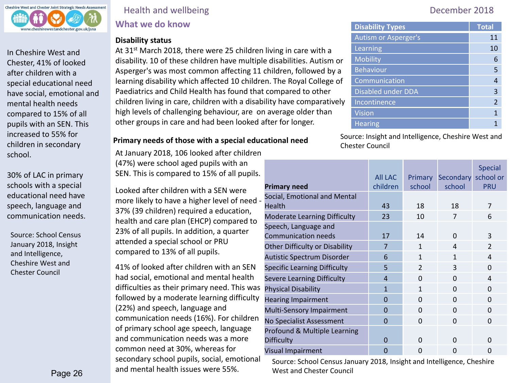

In Cheshire West and Chester, 41% of looked after children with a special educational need have social, emotional and mental health needs compared to 15% of all pupils with an SEN. This increased to 55% for children in secondary school.

30% of LAC in primary schools with a special educational need have speech, language and communication needs.

Source: School Census January 2018, Insight and Intelligence, Cheshire West and Chester Council

# Health and wellbeing **December 2018 What we do know**

### **Disability status**

At 31<sup>st</sup> March 2018, there were 25 children living in care with a disability. 10 of these children have multiple disabilities. Autism or Asperger's was most common affecting 11 children, followed by a learning disability which affected 10 children. The Royal College of Paediatrics and Child Health has found that compared to other children living in care, children with a disability have comparatively high levels of challenging behaviour, are on average older than other groups in care and had been looked after for longer.

At January 2018, 106 looked after children (47%) were school aged pupils with an SEN. This is compared to 15% of all pupils.

Looked after children with a SEN were more likely to have a higher level of need - 37% (39 children) required a education, health and care plan (EHCP) compared to 23% of all pupils. In addition, a quarter attended a special school or PRU compared to 13% of all pupils.

41% of looked after children with an SEN had social, emotional and mental health difficulties as their primary need. This was followed by a moderate learning difficulty (22%) and speech, language and communication needs (16%). For children of primary school age speech, language and communication needs was a more common need at 30%, whereas for secondary school pupils, social, emotional and mental health issues were 55%.

| <b>Disability Types</b>   | <b>Total</b>   |
|---------------------------|----------------|
| Autism or Asperger's      | 11             |
| Learning                  | 10             |
| <b>Mobility</b>           | 6              |
| <b>Behaviour</b>          | 5              |
| Communication             | 4              |
| <b>Disabled under DDA</b> | 3              |
| Incontinence              | $\mathfrak{p}$ |
| <b>Vision</b>             | 1              |
| <b>Hearing</b>            |                |

**Primary needs of those with a special educational need** Source: Insight and Intelligence, Cheshire West and Chester Council

| <b>Primary need</b>                                | <b>AII LAC</b><br>children | <b>Primary</b><br>school | Secondary school or<br>school | <b>Special</b><br><b>PRU</b> |
|----------------------------------------------------|----------------------------|--------------------------|-------------------------------|------------------------------|
| Social, Emotional and Mental<br>Health             | 43                         | 18                       | 18                            | 7                            |
| <b>Moderate Learning Difficulty</b>                | 23                         | 10                       | 7                             | 6                            |
| Speech, Language and<br><b>Communication needs</b> | 17                         | 14                       | $\Omega$                      | 3                            |
| <b>Other Difficulty or Disability</b>              | 7                          | 1                        | $\overline{4}$                | $\overline{2}$               |
| Autistic Spectrum Disorder                         | 6                          | $\mathbf{1}$             | 1                             | $\overline{4}$               |
| <b>Specific Learning Difficulty</b>                | 5                          | $\overline{2}$           | 3                             | $\Omega$                     |
| <b>Severe Learning Difficulty</b>                  | $\overline{a}$             | $\Omega$                 | $\Omega$                      | $\overline{4}$               |
| <b>Physical Disability</b>                         | $\mathbf{1}$               | 1                        | $\Omega$                      | $\Omega$                     |
| <b>Hearing Impairment</b>                          | $\Omega$                   | $\Omega$                 | $\Omega$                      | $\Omega$                     |
| Multi-Sensory Impairment                           | $\Omega$                   | $\Omega$                 | $\Omega$                      | $\Omega$                     |
| No Specialist Assessment                           | $\Omega$                   | $\Omega$                 | $\Omega$                      | $\Omega$                     |
| Profound & Multiple Learning<br><b>Difficulty</b>  | $\Omega$                   | 0                        | $\Omega$                      | O                            |
| Visual Impairment                                  | $\overline{0}$             | 0                        | $\Omega$                      | 0                            |

Source: School Census January 2018, Insight and Intelligence, Cheshire West and Chester Council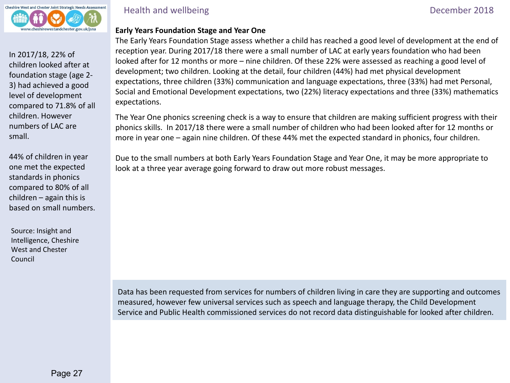

In 2017/18, 22% of children looked after at foundation stage (age 2- 3) had achieved a good level of development compared to 71.8% of all children. However numbers of LAC are small.

44% of children in year one met the expected standards in phonics compared to 80% of all children – again this is based on small numbers.

Source: Insight and Intelligence, Cheshire West and Chester Council

Health and wellbeing **December 2018** 

### **Early Years Foundation Stage and Year One**

The Early Years Foundation Stage assess whether a child has reached a good level of development at the end of reception year. During 2017/18 there were a small number of LAC at early years foundation who had been looked after for 12 months or more – nine children. Of these 22% were assessed as reaching a good level of development; two children. Looking at the detail, four children (44%) had met physical development expectations, three children (33%) communication and language expectations, three (33%) had met Personal, Social and Emotional Development expectations, two (22%) literacy expectations and three (33%) mathematics expectations.

The Year One phonics screening check is a way to ensure that children are making sufficient progress with their phonics skills. In 2017/18 there were a small number of children who had been looked after for 12 months or more in year one – again nine children. Of these 44% met the expected standard in phonics, four children.

Due to the small numbers at both Early Years Foundation Stage and Year One, it may be more appropriate to look at a three year average going forward to draw out more robust messages.

Data has been requested from services for numbers of children living in care they are supporting and outcomes measured, however few universal services such as speech and language therapy, the Child Development Service and Public Health commissioned services do not record data distinguishable for looked after children.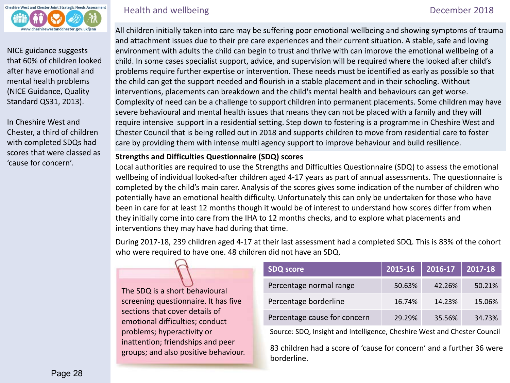

NICE guidance suggests that 60% of children looked after have emotional and mental health problems (NICE Guidance, Quality Standard QS31, 2013).

In Cheshire West and Chester, a third of children with completed SDQs had scores that were classed as 'cause for concern'.

# Health and wellbeing **December 2018**

 All children initially taken into care may be suffering poor emotional wellbeing and showing symptoms of trauma and attachment issues due to their pre care experiences and their current situation. A stable, safe and loving environment with adults the child can begin to trust and thrive with can improve the emotional wellbeing of a child. In some cases specialist support, advice, and supervision will be required where the looked after child's problems require further expertise or intervention. These needs must be identified as early as possible so that the child can get the support needed and flourish in a stable placement and in their schooling. Without interventions, placements can breakdown and the child's mental health and behaviours can get worse. Complexity of need can be a challenge to support children into permanent placements. Some children may have severe behavioural and mental health issues that means they can not be placed with a family and they will require intensive support in a residential setting. Step down to fostering is a programme in Cheshire West and Chester Council that is being rolled out in 2018 and supports children to move from residential care to foster care by providing them with intense multi agency support to improve behaviour and build resilience.

### **Strengths and Difficulties Questionnaire (SDQ) scores**

Local authorities are required to use the Strengths and Difficulties Questionnaire (SDQ) to assess the emotional wellbeing of individual looked-after children aged 4-17 years as part of annual assessments. The questionnaire is completed by the child's main carer. Analysis of the scores gives some indication of the number of children who potentially have an emotional health difficulty. Unfortunately this can only be undertaken for those who have been in care for at least 12 months though it would be of interest to understand how scores differ from when they initially come into care from the IHA to 12 months checks, and to explore what placements and interventions they may have had during that time.

During 2017-18, 239 children aged 4-17 at their last assessment had a completed SDQ. This is 83% of the cohort who were required to have one. 48 children did not have an SDQ.

The SDQ is a short behavioural screening questionnaire. It has five sections that cover details of emotional difficulties; conduct problems; hyperactivity or inattention; friendships and peer groups; and also positive behaviour.

| <b>SDQ score</b>             | 2015-16 | 2016-17 | 2017-18 |
|------------------------------|---------|---------|---------|
| Percentage normal range      | 50.63%  | 42.26%  | 50.21%  |
| Percentage borderline        | 16.74%  | 14.23%  | 15.06%  |
| Percentage cause for concern | 29.29%  | 35.56%  | 34.73%  |

Source: SDQ, Insight and Intelligence, Cheshire West and Chester Council

83 children had a score of 'cause for concern' and a further 36 were borderline.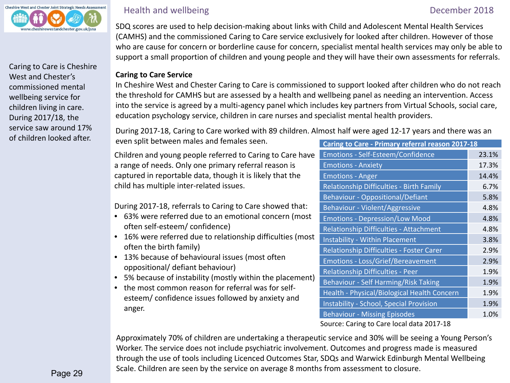

Caring to Care is Cheshire West and Chester's commissioned mental wellbeing service for children living in care. During 2017/18, the service saw around 17% of children looked after.

# Health and wellbeing **December 2018**

 SDQ scores are used to help decision-making about links with Child and Adolescent Mental Health Services (CAMHS) and the commissioned Caring to Care service exclusively for looked after children. However of those who are cause for concern or borderline cause for concern, specialist mental health services may only be able to support a small proportion of children and young people and they will have their own assessments for referrals.

## **Caring to Care Service**

In Cheshire West and Chester Caring to Care is commissioned to support looked after children who do not reach the threshold for CAMHS but are assessed by a health and wellbeing panel as needing an intervention. Access into the service is agreed by a multi-agency panel which includes key partners from Virtual Schools, social care, education psychology service, children in care nurses and specialist mental health providers.

During 2017-18, Caring to Care worked with 89 children. Almost half were aged 12-17 years and there was an even split between males and females seen.

Children and young people referred to Caring to Care have a range of needs. Only one primary referral reason is captured in reportable data, though it is likely that the child has multiple inter-related issues.

During 2017-18, referrals to Caring to Care showed that:

- 63% were referred due to an emotional concern (most often self-esteem/ confidence)
- 16% were referred due to relationship difficulties (most often the birth family)
- 13% because of behavioural issues (most often oppositional/ defiant behaviour)
- 5% because of instability (mostly within the placement)
- the most common reason for referral was for selfesteem/ confidence issues followed by anxiety and anger.

| Caring to Care - Primary referral reason 2017-18 |       |  |  |
|--------------------------------------------------|-------|--|--|
| Emotions - Self-Esteem/Confidence                | 23.1% |  |  |
| <b>Emotions - Anxiety</b>                        | 17.3% |  |  |
| <b>Emotions - Anger</b>                          | 14.4% |  |  |
| Relationship Difficulties - Birth Family         | 6.7%  |  |  |
| <b>Behaviour - Oppositional/Defiant</b>          | 5.8%  |  |  |
| <b>Behaviour - Violent/Aggressive</b>            | 4.8%  |  |  |
| <b>Emotions - Depression/Low Mood</b>            | 4.8%  |  |  |
| Relationship Difficulties - Attachment           | 4.8%  |  |  |
| <b>Instability - Within Placement</b>            | 3.8%  |  |  |
| Relationship Difficulties - Foster Carer         | 2.9%  |  |  |
| <b>Emotions - Loss/Grief/Bereavement</b>         | 2.9%  |  |  |
| <b>Relationship Difficulties - Peer</b>          | 1.9%  |  |  |
| <b>Behaviour - Self Harming/Risk Taking</b>      | 1.9%  |  |  |
| Health - Physical/Biological Health Concern      | 1.9%  |  |  |
| <b>Instability - School, Special Provision</b>   | 1.9%  |  |  |
| <b>Behaviour - Missing Episodes</b>              | 1.0%  |  |  |
| Castro at a Cassa Lacal data 3047.40             |       |  |  |

Source: Caring to Care local data 2017-18

Approximately 70% of children are undertaking a therapeutic service and 30% will be seeing a Young Person's Worker. The service does not include psychiatric involvement. Outcomes and progress made is measured through the use of tools including Licenced Outcomes Star, SDQs and Warwick Edinburgh Mental Wellbeing Scale. Children are seen by the service on average 8 months from assessment to closure.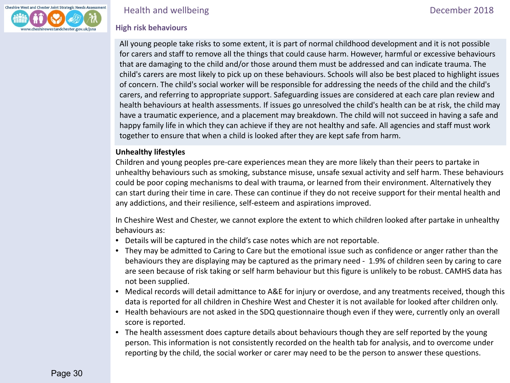

### Health and wellbeing and the contract of the contract of the December 2018

# **High risk behaviours**

All young people take risks to some extent, it is part of normal childhood development and it is not possible for carers and staff to remove all the things that could cause harm. However, harmful or excessive behaviours that are damaging to the child and/or those around them must be addressed and can indicate trauma. The child's carers are most likely to pick up on these behaviours. Schools will also be best placed to highlight issues of concern. The child's social worker will be responsible for addressing the needs of the child and the child's carers, and referring to appropriate support. Safeguarding issues are considered at each care plan review and health behaviours at health assessments. If issues go unresolved the child's health can be at risk, the child may have a traumatic experience, and a placement may breakdown. The child will not succeed in having a safe and happy family life in which they can achieve if they are not healthy and safe. All agencies and staff must work together to ensure that when a child is looked after they are kept safe from harm.

# **Unhealthy lifestyles**

Children and young peoples pre-care experiences mean they are more likely than their peers to partake in unhealthy behaviours such as smoking, substance misuse, unsafe sexual activity and self harm. These behaviours could be poor coping mechanisms to deal with trauma, or learned from their environment. Alternatively they can start during their time in care. These can continue if they do not receive support for their mental health and any addictions, and their resilience, self-esteem and aspirations improved.

In Cheshire West and Chester, we cannot explore the extent to which children looked after partake in unhealthy behaviours as:

- Details will be captured in the child's case notes which are not reportable.
- They may be admitted to Caring to Care but the emotional issue such as confidence or anger rather than the behaviours they are displaying may be captured as the primary need - 1.9% of children seen by caring to care are seen because of risk taking or self harm behaviour but this figure is unlikely to be robust. CAMHS data has not been supplied.
- Medical records will detail admittance to A&E for injury or overdose, and any treatments received, though this data is reported for all children in Cheshire West and Chester it is not available for looked after children only.
- Health behaviours are not asked in the SDQ questionnaire though even if they were, currently only an overall score is reported.
- The health assessment does capture details about behaviours though they are self reported by the young person. This information is not consistently recorded on the health tab for analysis, and to overcome under reporting by the child, the social worker or carer may need to be the person to answer these questions.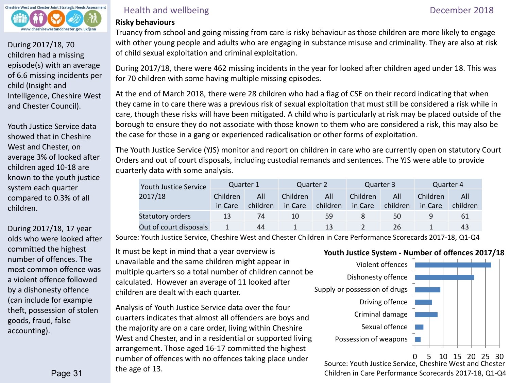

During 2017/18, 70 children had a missing episode(s) with an average of 6.6 missing incidents per child (Insight and Intelligence, Cheshire West and Chester Council).

Youth Justice Service data showed that in Cheshire West and Chester, on average 3% of looked after children aged 10-18 are known to the youth justice system each quarter compared to 0.3% of all children.

During 2017/18, 17 year olds who were looked after committed the highest number of offences. The most common offence was a violent offence followed by a dishonesty offence (can include for example theft, possession of stolen goods, fraud, false accounting).

# Health and wellbeing **December 2018**

# **Risky behaviours**

Truancy from school and going missing from care is risky behaviour as those children are more likely to engage with other young people and adults who are engaging in substance misuse and criminality. They are also at risk of child sexual exploitation and criminal exploitation.

During 2017/18, there were 462 missing incidents in the year for looked after children aged under 18. This was for 70 children with some having multiple missing episodes.

At the end of March 2018, there were 28 children who had a flag of CSE on their record indicating that when they came in to care there was a previous risk of sexual exploitation that must still be considered a risk while in care, though these risks will have been mitigated. A child who is particularly at risk may be placed outside of the borough to ensure they do not associate with those known to them who are considered a risk, this may also be the case for those in a gang or experienced radicalisation or other forms of exploitation.

The Youth Justice Service (YJS) monitor and report on children in care who are currently open on statutory Court Orders and out of court disposals, including custodial remands and sentences. The YJS were able to provide quarterly data with some analysis.

|  | Youth Justice Service<br>2017/18 | Quarter 1       |          | Quarter 2 |          | Quarter 3 |          | Quarter 4 |          |
|--|----------------------------------|-----------------|----------|-----------|----------|-----------|----------|-----------|----------|
|  |                                  | <b>Children</b> | All      | Children  | All      | Children  | All      | Children  | All      |
|  |                                  | in Care         | children | in Care   | children | in Care   | children | in Care   | children |
|  | <b>Statutory orders</b>          | 13              | 74       | 10        | 59       |           | 50       | 9         | 61       |
|  | Out of court disposals           |                 | 44       |           | 13       |           | 26       |           | 43       |

Source: Youth Justice Service, Cheshire West and Chester Children in Care Performance Scorecards 2017-18, Q1-Q4

It must be kept in mind that a year overview is **Youth Justice System - Number of offences 2017/18** unavailable and the same children might appear in multiple quarters so a total number of children cannot be calculated. However an average of 11 looked after children are dealt with each quarter.

Analysis of Youth Justice Service data over the four quarters indicates that almost all offenders are boys and the majority are on a care order, living within Cheshire West and Chester, and in a residential or supported living arrangement. Those aged 16-17 committed the highest number of offences with no offences taking place under the age of 13.<br>Source: Youth Justice Service, Cheshire West and Chester<br>Children in Care Deferencese Serverate 2017 18, 01, 04



0 5 10 15 20 25 30

Children in Care Performance Scorecards 2017-18, Q1-Q4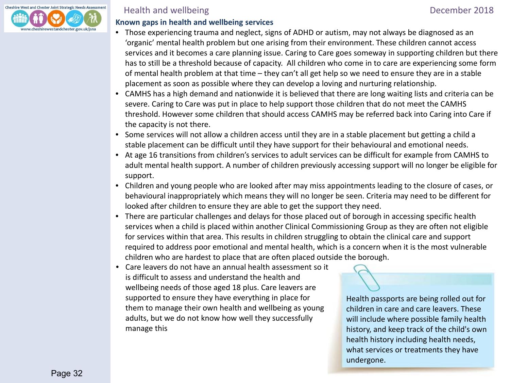

# Health and wellbeing **December 2018**

## **Known gaps in health and wellbeing services**

- Those experiencing trauma and neglect, signs of ADHD or autism, may not always be diagnosed as an 'organic' mental health problem but one arising from their environment. These children cannot access services and it becomes a care planning issue. Caring to Care goes someway in supporting children but there has to still be a threshold because of capacity. All children who come in to care are experiencing some form of mental health problem at that time – they can't all get help so we need to ensure they are in a stable placement as soon as possible where they can develop a loving and nurturing relationship.
- CAMHS has a high demand and nationwide it is believed that there are long waiting lists and criteria can be severe. Caring to Care was put in place to help support those children that do not meet the CAMHS threshold. However some children that should access CAMHS may be referred back into Caring into Care if the capacity is not there.
- Some services will not allow a children access until they are in a stable placement but getting a child a stable placement can be difficult until they have support for their behavioural and emotional needs.
- At age 16 transitions from children's services to adult services can be difficult for example from CAMHS to adult mental health support. A number of children previously accessing support will no longer be eligible for support.
- Children and young people who are looked after may miss appointments leading to the closure of cases, or behavioural inappropriately which means they will no longer be seen. Criteria may need to be different for looked after children to ensure they are able to get the support they need.
- There are particular challenges and delays for those placed out of borough in accessing specific health services when a child is placed within another Clinical Commissioning Group as they are often not eligible for services within that area. This results in children struggling to obtain the clinical care and support required to address poor emotional and mental health, which is a concern when it is the most vulnerable children who are hardest to place that are often placed outside the borough.
- Care leavers do not have an annual health assessment so it is difficult to assess and understand the health and wellbeing needs of those aged 18 plus. Care leavers are supported to ensure they have everything in place for them to manage their own health and wellbeing as young adults, but we do not know how well they successfully manage this

Health passports are being rolled out for children in care and care leavers. These will include where possible family health history, and keep track of the child's own health history including health needs, what services or treatments they have undergone.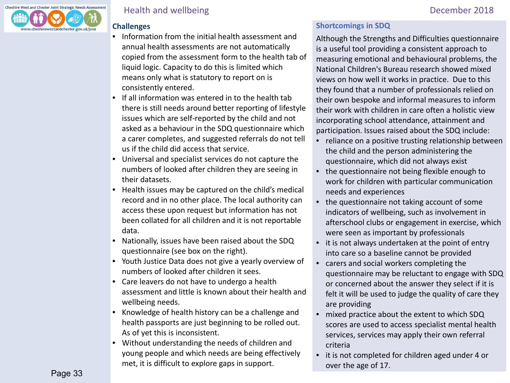

# Health and wellbeing **December 2018**

# **Challenges**

- Information from the initial health assessment and annual health assessments are not automatically copied from the assessment form to the health tab of liquid logic. Capacity to do this is limited which means only what is statutory to report on is consistently entered.
- If all information was entered in to the health tab there is still needs around better reporting of lifestyle issues which are self-reported by the child and not asked as a behaviour in the SDQ questionnaire which a carer completes, and suggested referrals do not tell us if the child did access that service.
- Universal and specialist services do not capture the numbers of looked after children they are seeing in their datasets.
- Health issues may be captured on the child's medical record and in no other place. The local authority can access these upon request but information has not been collated for all children and it is not reportable data.
- Nationally, issues have been raised about the SDQ questionnaire (see box on the right).
- Youth Justice Data does not give a yearly overview of numbers of looked after children it sees.
- Care leavers do not have to undergo a health assessment and little is known about their health and wellbeing needs.
- Knowledge of health history can be a challenge and health passports are just beginning to be rolled out. As of yet this is inconsistent.
- Without understanding the needs of children and young people and which needs are being effectively met, it is difficult to explore gaps in support.

# **Shortcomings in SDQ**

Although the Strengths and Difficulties questionnaire is a useful tool providing a consistent approach to measuring emotional and behavioural problems, the National Children's Bureau research showed mixed views on how well it works in practice. Due to this they found that a number of professionals relied on their own bespoke and informal measures to inform their work with children in care often a holistic view incorporating school attendance, attainment and participation. Issues raised about the SDQ include:

- reliance on a positive trusting relationship between the child and the person administering the questionnaire, which did not always exist
- the questionnaire not being flexible enough to work for children with particular communication needs and experiences
- the questionnaire not taking account of some indicators of wellbeing, such as involvement in afterschool clubs or engagement in exercise, which were seen as important by professionals
- it is not always undertaken at the point of entry into care so a baseline cannot be provided
- carers and social workers completing the questionnaire may be reluctant to engage with SDQ or concerned about the answer they select if it is felt it will be used to judge the quality of care they are providing
- mixed practice about the extent to which SDQ scores are used to access specialist mental health services, services may apply their own referral criteria
- it is not completed for children aged under 4 or over the age of 17.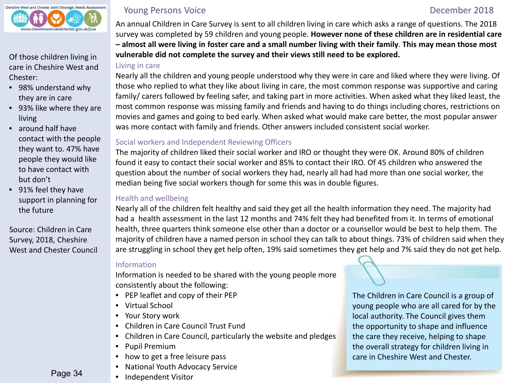<span id="page-33-0"></span>

care in Cheshire West and Chester:

- 98% understand why they are in care
- 93% like where they are living
- around half have contact with the people they want to. 47% have people they would like to have contact with but don't
- 91% feel they have support in planning for the future

Source: Children in Care Survey, 2018, Cheshire West and Chester Council

Page 34

# **Young Persons Voice December 2018**

An annual Children in Care Survey is sent to all children living in care which asks a range of questions. The 2018 survey was completed by 59 children and young people. **However none of these children are in residential care – almost all were living in foster care and a small number living with their family**. **This may mean those most**  Of those children living in **vulnerable did not complete the survey and their views still need to be explored.** 

# Living in care

Nearly all the children and young people understood why they were in care and liked where they were living. Of those who replied to what they like about living in care, the most common response was supportive and caring family/ carers followed by feeling safer, and taking part in more activities. When asked what they liked least, the most common response was missing family and friends and having to do things including chores, restrictions on movies and games and going to bed early. When asked what would make care better, the most popular answer was more contact with family and friends. Other answers included consistent social worker.

# Social workers and Independent Reviewing Officers

The majority of children liked their social worker and IRO or thought they were OK. Around 80% of children found it easy to contact their social worker and 85% to contact their IRO. Of 45 children who answered the question about the number of social workers they had, nearly all had had more than one social worker, the median being five social workers though for some this was in double figures.

# Health and wellbeing

Nearly all of the children felt healthy and said they get all the health information they need. The majority had had a health assessment in the last 12 months and 74% felt they had benefited from it. In terms of emotional health, three quarters think someone else other than a doctor or a counsellor would be best to help them. The majority of children have a named person in school they can talk to about things. 73% of children said when they are struggling in school they get help often, 19% said sometimes they get help and 7% said they do not get help.

# Information

Information is needed to be shared with the young people more consistently about the following:

- PEP leaflet and copy of their PEP
- Virtual School
- Your Story work
- Children in Care Council Trust Fund
- Children in Care Council, particularly the website and pledges
- Pupil Premium
- how to get a free leisure pass
- National Youth Advocacy Service
- Independent Visitor

The Children in Care Council is a group of young people who are all cared for by the local authority. The Council gives them the opportunity to shape and influence the care they receive, helping to shape the overall strategy for children living in care in Cheshire West and Chester.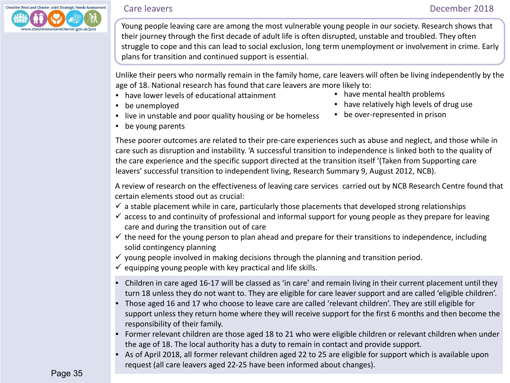<span id="page-34-0"></span>

Young people leaving care are among the most vulnerable young people in our society. Research shows that their journey through the first decade of adult life is often disrupted, unstable and troubled. They often struggle to cope and this can lead to social exclusion, long term unemployment or involvement in crime. Early plans for transition and continued support is essential.

Unlike their peers who normally remain in the family home, care leavers will often be living independently by the age of 18. National research has found that care leavers are more likely to:

- have lower levels of educational attainment
- be unemployed
- live in unstable and poor quality housing or be homeless
- have mental health problems
- have relatively high levels of drug use
- be over-represented in prison

• be young parents

These poorer outcomes are related to their pre-care experiences such as abuse and neglect, and those while in care such as disruption and instability. 'A successful transition to independence is linked both to the quality of the care experience and the specific support directed at the transition itself '(Taken from Supporting care leavers' successful transition to independent living, Research Summary 9, August 2012, NCB).

A review of research on the effectiveness of leaving care services carried out by NCB Research Centre found that certain elements stood out as crucial:

- $\checkmark$  a stable placement while in care, particularly those placements that developed strong relationships
- $\checkmark$  access to and continuity of professional and informal support for young people as they prepare for leaving care and during the transition out of care
- $\checkmark$  the need for the young person to plan ahead and prepare for their transitions to independence, including solid contingency planning
- $\checkmark$  young people involved in making decisions through the planning and transition period.
- $\checkmark$  equipping young people with key practical and life skills.
- Children in care aged 16-17 will be classed as 'in care' and remain living in their current placement until they turn 18 unless they do not want to. They are eligible for care leaver support and are called 'eligible children'.
- Those aged 16 and 17 who choose to leave care are called 'relevant children'. They are still eligible for support unless they return home where they will receive support for the first 6 months and then become the responsibility of their family.
- Former relevant children are those aged 18 to 21 who were eligible children or relevant children when under the age of 18. The local authority has a duty to remain in contact and provide support.
- As of April 2018, all former relevant children aged 22 to 25 are eligible for support which is available upon request (all care leavers aged 22-25 have been informed about changes).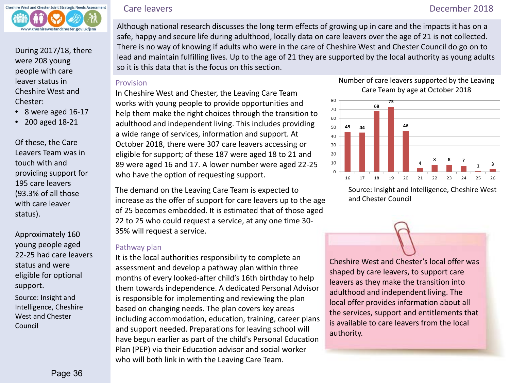

During 2017/18, there were 208 young people with care leaver status in Cheshire West and Chester:

- 8 were aged 16-17
- 200 aged 18-21

Of these, the Care Leavers Team was in touch with and providing support for 195 care leavers (93.3% of all those with care leaver status).

Approximately 160 young people aged 22-25 had care leavers status and were eligible for optional support.

Source: Insight and Intelligence, Cheshire West and Chester Council

 Although national research discusses the long term effects of growing up in care and the impacts it has on a safe, happy and secure life during adulthood, locally data on care leavers over the age of 21 is not collected. There is no way of knowing if adults who were in the care of Cheshire West and Chester Council do go on to

lead and maintain fulfilling lives. Up to the age of 21 they are supported by the local authority as young adults so it is this data that is the focus on this section.

### Provision

In Cheshire West and Chester, the Leaving Care Team works with young people to provide opportunities and help them make the right choices through the transition to adulthood and independent living. This includes providing a wide range of services, information and support. At October 2018, there were 307 care leavers accessing or eligible for support; of these 187 were aged 18 to 21 and 89 were aged 16 and 17. A lower number were aged 22-25 who have the option of requesting support.

The demand on the Leaving Care Team is expected to increase as the offer of support for care leavers up to the age of 25 becomes embedded. It is estimated that of those aged 22 to 25 who could request a service, at any one time 30- 35% will request a service.

### Pathway plan

It is the local authorities responsibility to complete an assessment and develop a pathway plan within three months of every looked-after child's 16th birthday to help them towards independence. A dedicated Personal Advisor is responsible for implementing and reviewing the plan based on changing needs. The plan covers key areas including accommodation, education, training, career plans and support needed. Preparations for leaving school will have begun earlier as part of the child's Personal Education Plan (PEP) via their Education advisor and social worker who will both link in with the Leaving Care Team.

### Number of care leavers supported by the Leaving Care Team by age at October 2018



Source: Insight and Intelligence, Cheshire West and Chester Council

Cheshire West and Chester's local offer was shaped by care leavers, to support care leavers as they make the transition into adulthood and independent living. The local offer provides information about all the services, support and entitlements that is available to care leavers from the local authority.

# Care leavers December 2018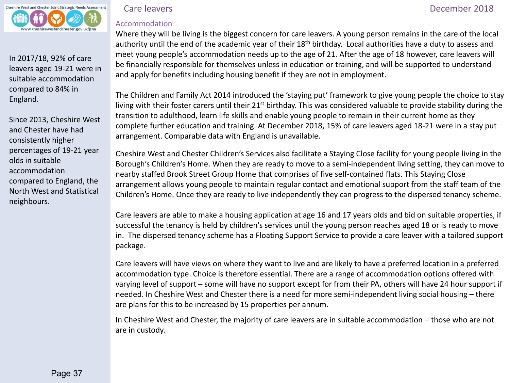

In 2017/18, 92% of care leavers aged 19-21 were in suitable accommodation compared to 84% in England.

Since 2013, Cheshire West and Chester have had consistently higher percentages of 19-21 year olds in suitable accommodation compared to England, the North West and Statistical neighbours.

## Accommodation

Care leavers December 2018

Where they will be living is the biggest concern for care leavers. A young person remains in the care of the local authority until the end of the academic year of their 18<sup>th</sup> birthday. Local authorities have a duty to assess and meet young people's accommodation needs up to the age of 21. After the age of 18 however, care leavers will be financially responsible for themselves unless in education or training, and will be supported to understand and apply for benefits including housing benefit if they are not in employment.

The Children and Family Act 2014 introduced the 'staying put' framework to give young people the choice to stay living with their foster carers until their 21<sup>st</sup> birthday. This was considered valuable to provide stability during the transition to adulthood, learn life skills and enable young people to remain in their current home as they complete further education and training. At December 2018, 15% of care leavers aged 18-21 were in a stay put arrangement. Comparable data with England is unavailable.

Cheshire West and Chester Children's Services also facilitate a Staying Close facility for young people living in the Borough's Children's Home. When they are ready to move to a semi-independent living setting, they can move to nearby staffed Brook Street Group Home that comprises of five self-contained flats. This Staying Close arrangement allows young people to maintain regular contact and emotional support from the staff team of the Children's Home. Once they are ready to live independently they can progress to the dispersed tenancy scheme.

Care leavers are able to make a housing application at age 16 and 17 years olds and bid on suitable properties, if successful the tenancy is held by children's services until the young person reaches aged 18 or is ready to move in. The dispersed tenancy scheme has a Floating Support Service to provide a care leaver with a tailored support package.

Care leavers will have views on where they want to live and are likely to have a preferred location in a preferred accommodation type. Choice is therefore essential. There are a range of accommodation options offered with varying level of support – some will have no support except for from their PA, others will have 24 hour support if needed. In Cheshire West and Chester there is a need for more semi-independent living social housing – there are plans for this to be increased by 15 properties per annum.

In Cheshire West and Chester, the majority of care leavers are in suitable accommodation – those who are not are in custody.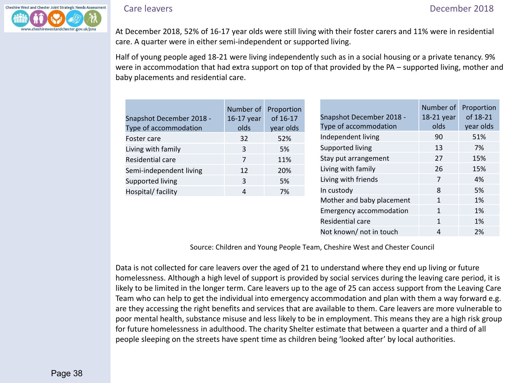

Care leavers December 2018

At December 2018, 52% of 16-17 year olds were still living with their foster carers and 11% were in residential care. A quarter were in either semi-independent or supported living.

Half of young people aged 18-21 were living independently such as in a social housing or a private tenancy. 9% were in accommodation that had extra support on top of that provided by the PA – supported living, mother and baby placements and residential care.

|                          | Number of  | Proportion |
|--------------------------|------------|------------|
| Snapshot December 2018 - | 16-17 year | of 16-17   |
| Type of accommodation    | olds       | year olds  |
| Foster care              | 32         | 52%        |
| Living with family       | 3          | 5%         |
| Residential care         | 7          | 11%        |
| Semi-independent living  | 12         | 20%        |
| Supported living         | 3          | 5%         |
| Hospital/ facility       | Δ          | 7%         |

|                                | Number of  | Proportion |
|--------------------------------|------------|------------|
| Snapshot December 2018 -       | 18-21 year | of 18-21   |
| Type of accommodation          | olds       | year olds  |
| Independent living             | 90         | 51%        |
| Supported living               | 13         | 7%         |
| Stay put arrangement           | 27         | 15%        |
| Living with family             | 26         | 15%        |
| Living with friends            | 7          | 4%         |
| In custody                     | 8          | 5%         |
| Mother and baby placement      | 1          | 1%         |
| <b>Emergency accommodation</b> | 1          | 1%         |
| Residential care               | 1          | 1%         |
| Not known/ not in touch        | 4          | 2%         |

Source: Children and Young People Team, Cheshire West and Chester Council

Data is not collected for care leavers over the aged of 21 to understand where they end up living or future homelessness. Although a high level of support is provided by social services during the leaving care period, it is likely to be limited in the longer term. Care leavers up to the age of 25 can access support from the Leaving Care Team who can help to get the individual into emergency accommodation and plan with them a way forward e.g. are they accessing the right benefits and services that are available to them. Care leavers are more vulnerable to poor mental health, substance misuse and less likely to be in employment. This means they are a high risk group for future homelessness in adulthood. The charity Shelter estimate that between a quarter and a third of all people sleeping on the streets have spent time as children being 'looked after' by local authorities.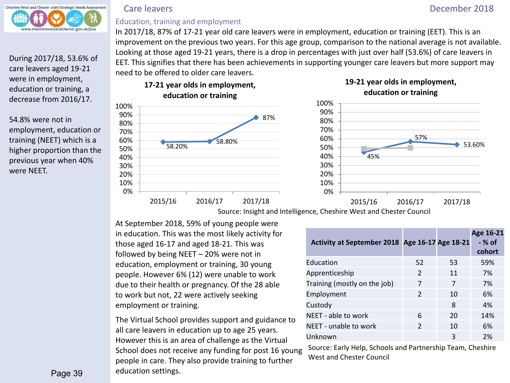

During 2017/18, 53.6% of care leavers aged 19-21 were in employment, education or training, a decrease from 2016/17.

54.8% were not in employment, education or training (NEET) which is a higher proportion than the previous year when 40% were NEET.

# Education, training and employment

In 2017/18, 87% of 17-21 year old care leavers were in employment, education or training (EET). This is an improvement on the previous two years. For this age group, comparison to the national average is not available. Looking at those aged 19-21 years, there is a drop in percentages with just over half (53.6%) of care leavers in EET. This signifies that there has been achievements in supporting younger care leavers but more support may need to be offered to older care leavers.



**19-21 year olds in employment, education or training**



At September 2018, 59% of young people were in education. This was the most likely activity for those aged 16-17 and aged 18-21. This was followed by being NEET – 20% were not in education, employment or training, 30 young people. However 6% (12) were unable to work due to their health or pregnancy. Of the 28 able to work but not, 22 were actively seeking employment or training.

The Virtual School provides support and guidance to all care leavers in education up to age 25 years. However this is an area of challenge as the Virtual School does not receive any funding for post 16 young people in care. They also provide training to further education settings.

| Activity at September 2018 Age 16-17 Age 18-21 |                |    | Age 16-21<br>- % of<br>cohort |
|------------------------------------------------|----------------|----|-------------------------------|
| Education                                      | 52             | 53 | 59%                           |
| Apprenticeship                                 | $\overline{2}$ | 11 | 7%                            |
| Training (mostly on the job)                   | 7              | 7  | 7%                            |
| Employment                                     | $\overline{2}$ | 10 | 6%                            |
| Custody                                        |                | 8  | 4%                            |
| NEET - able to work                            | 6              | 20 | 14%                           |
| NEET - unable to work                          | $\overline{2}$ | 10 | 6%                            |
| Unknown                                        |                | 3  | 2%                            |

Source: Early Help, Schools and Partnership Team, Cheshire West and Chester Council

# Care leavers December 2018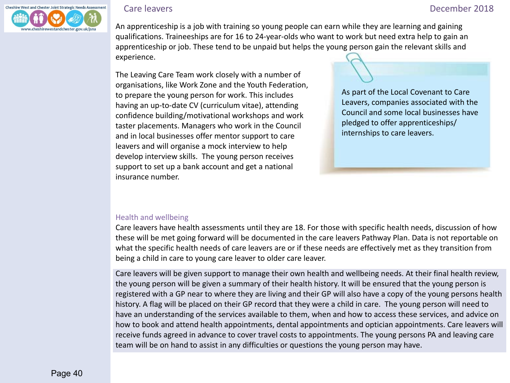

 An apprenticeship is a job with training so young people can earn while they are learning and gaining qualifications. Traineeships are for 16 to 24-year-olds who want to work but need extra help to gain an apprenticeship or job. These tend to be unpaid but helps the young person gain the relevant skills and experience.

The Leaving Care Team work closely with a number of organisations, like Work Zone and the Youth Federation, to prepare the young person for work. This includes having an up-to-date CV (curriculum vitae), attending confidence building/motivational workshops and work taster placements. Managers who work in the Council and in local businesses offer mentor support to care leavers and will organise a mock interview to help develop interview skills. The young person receives support to set up a bank account and get a national insurance number.

As part of the Local Covenant to Care Leavers, companies associated with the Council and some local businesses have pledged to offer apprenticeships/ internships to care leavers.

### Health and wellbeing

Care leavers have health assessments until they are 18. For those with specific health needs, discussion of how these will be met going forward will be documented in the care leavers Pathway Plan. Data is not reportable on what the specific health needs of care leavers are or if these needs are effectively met as they transition from being a child in care to young care leaver to older care leaver.

Care leavers will be given support to manage their own health and wellbeing needs. At their final health review, the young person will be given a summary of their health history. It will be ensured that the young person is registered with a GP near to where they are living and their GP will also have a copy of the young persons health history. A flag will be placed on their GP record that they were a child in care. The young person will need to have an understanding of the services available to them, when and how to access these services, and advice on how to book and attend health appointments, dental appointments and optician appointments. Care leavers will receive funds agreed in advance to cover travel costs to appointments. The young persons PA and leaving care team will be on hand to assist in any difficulties or questions the young person may have.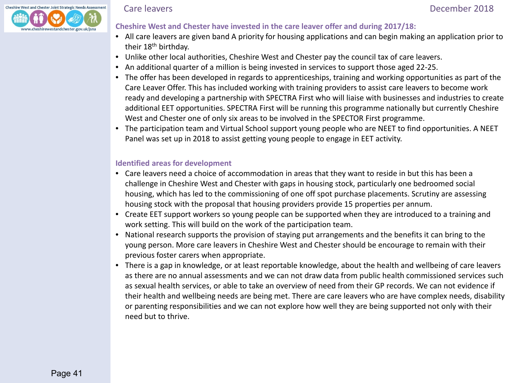

### Care leavers December 2018

# **Cheshire West and Chester have invested in the care leaver offer and during 2017/18:**

- All care leavers are given band A priority for housing applications and can begin making an application prior to their 18<sup>th</sup> birthday.
- Unlike other local authorities, Cheshire West and Chester pay the council tax of care leavers.
- An additional quarter of a million is being invested in services to support those aged 22-25.
- The offer has been developed in regards to apprenticeships, training and working opportunities as part of the Care Leaver Offer. This has included working with training providers to assist care leavers to become work ready and developing a partnership with SPECTRA First who will liaise with businesses and industries to create additional EET opportunities. SPECTRA First will be running this programme nationally but currently Cheshire West and Chester one of only six areas to be involved in the SPECTOR First programme.
- The participation team and Virtual School support young people who are NEET to find opportunities. A NEET Panel was set up in 2018 to assist getting young people to engage in EET activity.

### **Identified areas for development**

- Care leavers need a choice of accommodation in areas that they want to reside in but this has been a challenge in Cheshire West and Chester with gaps in housing stock, particularly one bedroomed social housing, which has led to the commissioning of one off spot purchase placements. Scrutiny are assessing housing stock with the proposal that housing providers provide 15 properties per annum.
- Create EET support workers so young people can be supported when they are introduced to a training and work setting. This will build on the work of the participation team.
- National research supports the provision of staying put arrangements and the benefits it can bring to the young person. More care leavers in Cheshire West and Chester should be encourage to remain with their previous foster carers when appropriate.
- There is a gap in knowledge, or at least reportable knowledge, about the health and wellbeing of care leavers as there are no annual assessments and we can not draw data from public health commissioned services such as sexual health services, or able to take an overview of need from their GP records. We can not evidence if their health and wellbeing needs are being met. There are care leavers who are have complex needs, disability or parenting responsibilities and we can not explore how well they are being supported not only with their need but to thrive.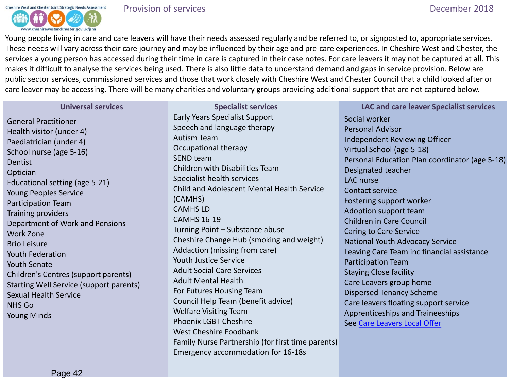<span id="page-41-0"></span>

Young people living in care and care leavers will have their needs assessed regularly and be referred to, or signposted to, appropriate services. These needs will vary across their care journey and may be influenced by their age and pre-care experiences. In Cheshire West and Chester, the services a young person has accessed during their time in care is captured in their case notes. For care leavers it may not be captured at all. This makes it difficult to analyse the services being used. There is also little data to understand demand and gaps in service provision. Below are public sector services, commissioned services and those that work closely with Cheshire West and Chester Council that a child looked after or care leaver may be accessing. There will be many charities and voluntary groups providing additional support that are not captured below.

### **Universal services**

General Practitioner Health visitor (under 4) Paediatrician (under 4) School nurse (age 5-16) Dentist **Optician** Educational setting (age 5-21) Young Peoples Service Participation Team Training providers Department of Work and Pensions Work Zone Brio Leisure Youth Federation Youth Senate Children's Centres (support parents) Starting Well Service (support parents) Sexual Health Service NHS Go Young Minds

**Specialist services** Early Years Specialist Support Speech and language therapy Autism Team Occupational therapy SEND team Children with Disabilities Team Specialist health services Child and Adolescent Mental Health Service (CAMHS) CAMHS LD CAMHS 16-19 Turning Point – Substance abuse Cheshire Change Hub (smoking and weight) Addaction (missing from care) Youth Justice Service Adult Social Care Services Adult Mental Health For Futures Housing Team Council Help Team (benefit advice) Welfare Visiting Team Phoenix LGBT Cheshire West Cheshire Foodbank Family Nurse Partnership (for first time parents) Emergency accommodation for 16-18s

**LAC and care leaver Specialist services** Social worker Personal Advisor Independent Reviewing Officer Virtual School (age 5-18) Personal Education Plan coordinator (age 5-18) Designated teacher LAC nurse Contact service Fostering support worker Adoption support team Children in Care Council Caring to Care Service National Youth Advocacy Service Leaving Care Team inc financial assistance Participation Team Staying Close facility Care Leavers group home Dispersed Tenancy Scheme Care leavers floating support service Apprenticeships and Traineeships See [Care Leavers Local Offer](https://www.cheshirewestandchester.gov.uk/residents/health-and-social-care/children-and-young-people/Care-leavers.aspx)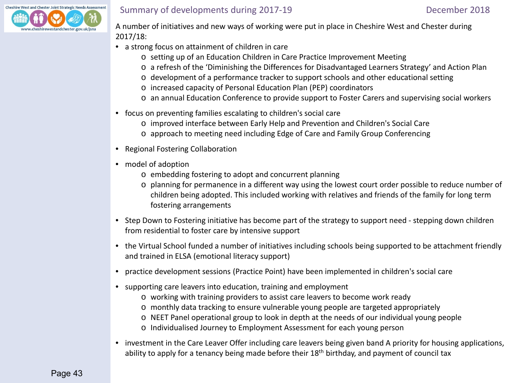<span id="page-42-0"></span>

# Summary of developments during 2017-19 December 2018

 A number of initiatives and new ways of working were put in place in Cheshire West and Chester during 2017/18:

- a strong focus on attainment of children in care
	- o setting up of an Education Children in Care Practice Improvement Meeting
	- o a refresh of the 'Diminishing the Differences for Disadvantaged Learners Strategy' and Action Plan
	- o development of a performance tracker to support schools and other educational setting
	- o increased capacity of Personal Education Plan (PEP) coordinators
	- o an annual Education Conference to provide support to Foster Carers and supervising social workers
- focus on preventing families escalating to children's social care
	- o improved interface between Early Help and Prevention and Children's Social Care
	- o approach to meeting need including Edge of Care and Family Group Conferencing
- Regional Fostering Collaboration
- model of adoption
	- o embedding fostering to adopt and concurrent planning
	- o planning for permanence in a different way using the lowest court order possible to reduce number of children being adopted. This included working with relatives and friends of the family for long term fostering arrangements
- Step Down to Fostering initiative has become part of the strategy to support need stepping down children from residential to foster care by intensive support
- the Virtual School funded a number of initiatives including schools being supported to be attachment friendly and trained in ELSA (emotional literacy support)
- practice development sessions (Practice Point) have been implemented in children's social care
- supporting care leavers into education, training and employment
	- o working with training providers to assist care leavers to become work ready
	- o monthly data tracking to ensure vulnerable young people are targeted appropriately
	- o NEET Panel operational group to look in depth at the needs of our individual young people
	- o Individualised Journey to Employment Assessment for each young person
- investment in the Care Leaver Offer including care leavers being given band A priority for housing applications, ability to apply for a tenancy being made before their 18<sup>th</sup> birthday, and payment of council tax